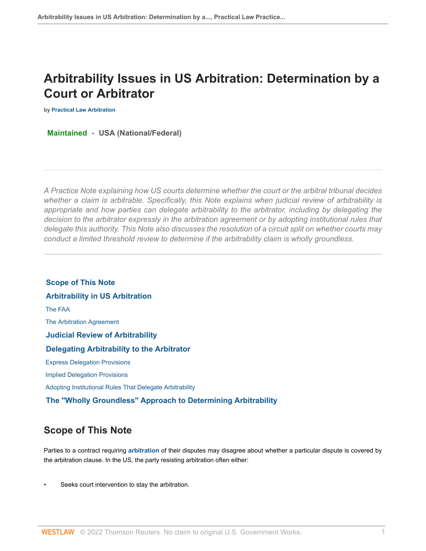# **Arbitrability Issues in US Arbitration: Determination by a Court or Arbitrator**

**by [Practical Law Arbitration](https://1.next.westlaw.com/Browse/Home/About/OurteamArbitration )**

**Maintained • USA (National/Federal)**

*A Practice Note explaining how US courts determine whether the court or the arbitral tribunal decides whether a claim is arbitrable. Specifically, this Note explains when judicial review of arbitrability is appropriate and how parties can delegate arbitrability to the arbitrator, including by delegating the decision to the arbitrator expressly in the arbitration agreement or by adopting institutional rules that delegate this authority. This Note also discusses the resolution of a circuit split on whether courts may conduct a limited threshold review to determine if the arbitrability claim is wholly groundless.*

 **[Scope of This Note](#page-0-0)  [Arbitrability in US Arbitration](#page-1-0)**  [The FAA](#page-1-1)  [The Arbitration Agreement](#page-2-0)  **[Judicial Review of Arbitrability](#page-3-0)  [Delegating Arbitrability to the Arbitrator](#page-4-0)**  [Express Delegation Provisions](#page-4-1)  [Implied Delegation Provisions](#page-5-0)  [Adopting Institutional Rules That Delegate Arbitrability](#page-6-0)  **[The "Wholly Groundless" Approach to Determining Arbitrability](#page-8-0)**

## <span id="page-0-0"></span>**Scope of This Note**

Parties to a contract requiring **[arbitration](http://www.westlaw.com/Document/I0f9fbdfdef0811e28578f7ccc38dcbee/View/FullText.html?originationContext=document&vr=3.0&rs=cblt1.0&transitionType=DocumentItem&contextData=(sc.Default))** of their disputes may disagree about whether a particular dispute is covered by the arbitration clause. In the US, the party resisting arbitration often either:

Seeks court intervention to stay the arbitration.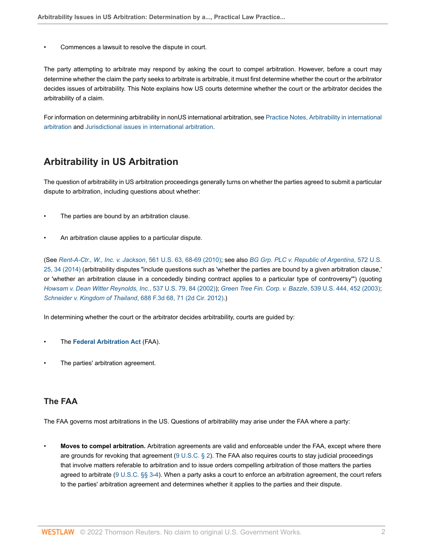• Commences a lawsuit to resolve the dispute in court.

The party attempting to arbitrate may respond by asking the court to compel arbitration. However, before a court may determine whether the claim the party seeks to arbitrate is arbitrable, it must first determine whether the court or the arbitrator decides issues of arbitrability. This Note explains how US courts determine whether the court or the arbitrator decides the arbitrability of a claim.

For information on determining arbitrability in nonUS international arbitration, see [Practice Notes, Arbitrability in international](http://www.westlaw.com/Document/Id249cb9f1c9611e38578f7ccc38dcbee/View/FullText.html?originationContext=document&vr=3.0&rs=cblt1.0&transitionType=DocumentItem&contextData=(sc.Default)) [arbitration](http://www.westlaw.com/Document/Id249cb9f1c9611e38578f7ccc38dcbee/View/FullText.html?originationContext=document&vr=3.0&rs=cblt1.0&transitionType=DocumentItem&contextData=(sc.Default)) and [Jurisdictional issues in international arbitration](http://www.westlaw.com/Document/Id249cb9b1c9611e38578f7ccc38dcbee/View/FullText.html?originationContext=document&vr=3.0&rs=cblt1.0&transitionType=DocumentItem&contextData=(sc.Default)).

### <span id="page-1-0"></span>**Arbitrability in US Arbitration**

The question of arbitrability in US arbitration proceedings generally turns on whether the parties agreed to submit a particular dispute to arbitration, including questions about whether:

- The parties are bound by an arbitration clause.
- An arbitration clause applies to a particular dispute.

(See *[Rent-A-Ctr., W., Inc. v. Jackson](http://www.westlaw.com/Link/Document/FullText?findType=Y&serNum=2022339671&pubNum=0000780&originatingDoc=I80b60e2fc39f11e698dc8b09b4f043e0&refType=RP&fi=co_pp_sp_780_68&originationContext=document&vr=3.0&rs=cblt1.0&transitionType=PLDocumentLink&billingHash=AEA78BF9C6E64B074509C896B1BD2ED0064952AB7D9A21DC0F44BFD8064AB2B5&contextData=(sc.Default)#co_pp_sp_780_68)*, 561 U.S. 63, 68-69 (2010); see also *[BG Grp. PLC v. Republic of Argentina](http://www.westlaw.com/Link/Document/FullText?findType=Y&serNum=2032824175&pubNum=0000780&originatingDoc=I80b60e2fc39f11e698dc8b09b4f043e0&refType=RP&fi=co_pp_sp_780_34&originationContext=document&vr=3.0&rs=cblt1.0&transitionType=PLDocumentLink&billingHash=C472EF0439EDCF41F91E5EEFA9F3F652259C4EF3ECCCF7D5AD0987F86243B393&contextData=(sc.Default)#co_pp_sp_780_34)*, 572 U.S. [25, 34 \(2014\)](http://www.westlaw.com/Link/Document/FullText?findType=Y&serNum=2032824175&pubNum=0000780&originatingDoc=I80b60e2fc39f11e698dc8b09b4f043e0&refType=RP&fi=co_pp_sp_780_34&originationContext=document&vr=3.0&rs=cblt1.0&transitionType=PLDocumentLink&billingHash=C472EF0439EDCF41F91E5EEFA9F3F652259C4EF3ECCCF7D5AD0987F86243B393&contextData=(sc.Default)#co_pp_sp_780_34) (arbitrability disputes "include questions such as 'whether the parties are bound by a given arbitration clause,' or 'whether an arbitration clause in a concededly binding contract applies to a particular type of controversy'") (quoting *[Howsam v. Dean Witter Reynolds, Inc.](http://www.westlaw.com/Link/Document/FullText?findType=Y&serNum=2002764894&pubNum=0000780&originatingDoc=I80b60e2fc39f11e698dc8b09b4f043e0&refType=RP&fi=co_pp_sp_780_84&originationContext=document&vr=3.0&rs=cblt1.0&transitionType=PLDocumentLink&billingHash=443659899DAC54ACC341F8CFDC01B43D34A8836D74681B946C5B79F9CCC2E0F0&contextData=(sc.Default)#co_pp_sp_780_84)*, 537 U.S. 79, 84 (2002)); *[Green Tree Fin. Corp. v. Bazzle](http://www.westlaw.com/Link/Document/FullText?findType=Y&serNum=2003444529&pubNum=0000780&originatingDoc=I80b60e2fc39f11e698dc8b09b4f043e0&refType=RP&fi=co_pp_sp_780_452&originationContext=document&vr=3.0&rs=cblt1.0&transitionType=PLDocumentLink&billingHash=8FC5EE89A03019FF7DF1DBB06CFA92023C68E82E5E8B51547EE9EFB8F987E90C&contextData=(sc.Default)#co_pp_sp_780_452)*, 539 U.S. 444, 452 (2003); *[Schneider v. Kingdom of Thailand](http://www.westlaw.com/Link/Document/FullText?findType=Y&serNum=2028361018&pubNum=0000506&originatingDoc=I80b60e2fc39f11e698dc8b09b4f043e0&refType=RP&fi=co_pp_sp_506_71&originationContext=document&vr=3.0&rs=cblt1.0&transitionType=PLDocumentLink&billingHash=A9C15655FF9911D5476996751108169C4971BC266708557C20876CDDAF7C988F&contextData=(sc.Default)#co_pp_sp_506_71)*, 688 F.3d 68, 71 (2d Cir. 2012).)

In determining whether the court or the arbitrator decides arbitrability, courts are guided by:

- The **[Federal Arbitration Act](http://www.westlaw.com/Document/Ibb0a1216ef0511e28578f7ccc38dcbee/View/FullText.html?originationContext=document&vr=3.0&rs=cblt1.0&transitionType=DocumentItem&contextData=(sc.Default))** (FAA).
- The parties' arbitration agreement.

### <span id="page-1-1"></span>**The FAA**

The FAA governs most arbitrations in the US. Questions of arbitrability may arise under the FAA where a party:

• **Moves to compel arbitration.** Arbitration agreements are valid and enforceable under the FAA, except where there are grounds for revoking that agreement ( $9 \cup S.C.$  § 2). The FAA also requires courts to stay judicial proceedings that involve matters referable to arbitration and to issue orders compelling arbitration of those matters the parties agreed to arbitrate ([9 U.S.C. §§ 3-](http://www.westlaw.com/Link/Document/FullText?findType=L&pubNum=1000546&cite=9USCAS3&originatingDoc=I80b60e2fc39f11e698dc8b09b4f043e0&refType=LQ&originationContext=document&vr=3.0&rs=cblt1.0&transitionType=PLDocumentLink&billingHash=760EBB6C0B27DF92AB0EDEA3DC2D20CFA323214BB6F4B5FEE1B6CA53BE08DA35&contextData=(sc.Default))[4\)](http://www.westlaw.com/Link/Document/FullText?findType=L&pubNum=1000546&cite=9USCAS4&originatingDoc=I80b60e2fc39f11e698dc8b09b4f043e0&refType=LQ&originationContext=document&vr=3.0&rs=cblt1.0&transitionType=PLDocumentLink&billingHash=D46C8D3C5C068B4CE233E9757F84BA248450BC2DC8FA26BAD2B65D41E7BC93DD&contextData=(sc.Default)). When a party asks a court to enforce an arbitration agreement, the court refers to the parties' arbitration agreement and determines whether it applies to the parties and their dispute.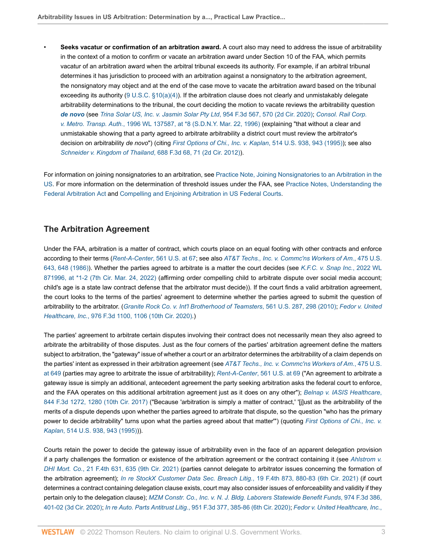• **Seeks vacatur or confirmation of an arbitration award.** A court also may need to address the issue of arbitrability in the context of a motion to confirm or vacate an arbitration award under Section 10 of the FAA, which permits vacatur of an arbitration award when the arbitral tribunal exceeds its authority. For example, if an arbitral tribunal determines it has jurisdiction to proceed with an arbitration against a nonsignatory to the arbitration agreement, the nonsignatory may object and at the end of the case move to vacate the arbitration award based on the tribunal exceeding its authority  $(9 U.S.C. §10(a)(4))$  $(9 U.S.C. §10(a)(4))$  $(9 U.S.C. §10(a)(4))$ . If the arbitration clause does not clearly and unmistakably delegate arbitrability determinations to the tribunal, the court deciding the motion to vacate reviews the arbitrability question *[de novo](http://www.westlaw.com/Document/I0f9fbfdaef0811e28578f7ccc38dcbee/View/FullText.html?originationContext=document&vr=3.0&rs=cblt1.0&transitionType=DocumentItem&contextData=(sc.Default))* (see *[Trina Solar US, Inc. v. Jasmin Solar Pty Ltd](http://www.westlaw.com/Link/Document/FullText?findType=Y&serNum=2050691688&pubNum=0000506&originatingDoc=I80b60e2fc39f11e698dc8b09b4f043e0&refType=RP&fi=co_pp_sp_506_570&originationContext=document&vr=3.0&rs=cblt1.0&transitionType=PLDocumentLink&billingHash=50CA0C817853015BF2EA23C6EE062290A6BD61DEE41644A994E4D384172CC8A1&contextData=(sc.Default)#co_pp_sp_506_570)*, 954 F.3d 567, 570 (2d Cir. 2020); *[Consol. Rail Corp.](http://www.westlaw.com/Link/Document/FullText?findType=Y&serNum=1996076744&pubNum=0000999&originatingDoc=I80b60e2fc39f11e698dc8b09b4f043e0&refType=RP&fi=co_pp_sp_999_8&originationContext=document&vr=3.0&rs=cblt1.0&transitionType=PLDocumentLink&billingHash=33BFB6C01EA08D53859D86E0C1231635EB636AD6C3C360AD3B578B2B43A1D6A9&contextData=(sc.Default)#co_pp_sp_999_8) v. Metro. Transp. Auth.*[, 1996 WL 137587, at \\*8 \(S.D.N.Y. Mar. 22, 1996\)](http://www.westlaw.com/Link/Document/FullText?findType=Y&serNum=1996076744&pubNum=0000999&originatingDoc=I80b60e2fc39f11e698dc8b09b4f043e0&refType=RP&fi=co_pp_sp_999_8&originationContext=document&vr=3.0&rs=cblt1.0&transitionType=PLDocumentLink&billingHash=33BFB6C01EA08D53859D86E0C1231635EB636AD6C3C360AD3B578B2B43A1D6A9&contextData=(sc.Default)#co_pp_sp_999_8) (explaining "that without a clear and unmistakable showing that a party agreed to arbitrate arbitrability a district court must review the arbitrator's decision on arbitrability *de novo*") (citing *[First Options of Chi., Inc. v. Kaplan](http://www.westlaw.com/Link/Document/FullText?findType=Y&serNum=1995112780&pubNum=0000780&originatingDoc=I80b60e2fc39f11e698dc8b09b4f043e0&refType=RP&fi=co_pp_sp_780_943&originationContext=document&vr=3.0&rs=cblt1.0&transitionType=PLDocumentLink&billingHash=3AC5CB12BA7D2B400FD15FE61C3C5D60808A84F89FCF1E05159414C150052076&contextData=(sc.Default)#co_pp_sp_780_943)*, 514 U.S. 938, 943 (1995)); see also *[Schneider v. Kingdom of Thailand](http://www.westlaw.com/Link/Document/FullText?findType=Y&serNum=2028361018&pubNum=0000506&originatingDoc=I80b60e2fc39f11e698dc8b09b4f043e0&refType=RP&fi=co_pp_sp_506_71&originationContext=document&vr=3.0&rs=cblt1.0&transitionType=PLDocumentLink&billingHash=A9C15655FF9911D5476996751108169C4971BC266708557C20876CDDAF7C988F&contextData=(sc.Default)#co_pp_sp_506_71)*, 688 F.3d 68, 71 (2d Cir. 2012)).

For information on joining nonsignatories to an arbitration, see [Practice Note, Joining Nonsignatories to an Arbitration in the](http://www.westlaw.com/Document/Ic6a1a888c08e11e79bef99c0ee06c731/View/FullText.html?originationContext=document&vr=3.0&rs=cblt1.0&transitionType=DocumentItem&contextData=(sc.Default)) [US](http://www.westlaw.com/Document/Ic6a1a888c08e11e79bef99c0ee06c731/View/FullText.html?originationContext=document&vr=3.0&rs=cblt1.0&transitionType=DocumentItem&contextData=(sc.Default)). For more information on the determination of threshold issues under the FAA, see [Practice Notes, Understanding the](http://www.westlaw.com/Document/I0f9fc0b4ef0811e28578f7ccc38dcbee/View/FullText.html?originationContext=document&vr=3.0&rs=cblt1.0&transitionType=DocumentItem&contextData=(sc.Default)) [Federal Arbitration Act](http://www.westlaw.com/Document/I0f9fc0b4ef0811e28578f7ccc38dcbee/View/FullText.html?originationContext=document&vr=3.0&rs=cblt1.0&transitionType=DocumentItem&contextData=(sc.Default)) and [Compelling and Enjoining Arbitration in US Federal Courts](http://www.westlaw.com/Document/I630e9697141b11e498db8b09b4f043e0/View/FullText.html?originationContext=document&vr=3.0&rs=cblt1.0&transitionType=DocumentItem&contextData=(sc.Default)).

### <span id="page-2-0"></span>**The Arbitration Agreement**

Under the FAA, arbitration is a matter of contract, which courts place on an equal footing with other contracts and enforce according to their terms (*Rent-A-Center*[, 561 U.S. at 67;](http://www.westlaw.com/Link/Document/FullText?findType=Y&serNum=2022339671&pubNum=0000780&originatingDoc=I80b60e2fc39f11e698dc8b09b4f043e0&refType=RP&fi=co_pp_sp_780_67&originationContext=document&vr=3.0&rs=cblt1.0&transitionType=PLDocumentLink&billingHash=AEA78BF9C6E64B074509C896B1BD2ED0064952AB7D9A21DC0F44BFD8064AB2B5&contextData=(sc.Default)#co_pp_sp_780_67) see also *[AT&T Techs., Inc. v. Commc'ns Workers of Am.](http://www.westlaw.com/Link/Document/FullText?findType=Y&serNum=1986117815&pubNum=0000780&originatingDoc=I80b60e2fc39f11e698dc8b09b4f043e0&refType=RP&fi=co_pp_sp_780_648&originationContext=document&vr=3.0&rs=cblt1.0&transitionType=PLDocumentLink&billingHash=A0A1ED2D551D4ED9F227639FD1301DBBE220C2F6F19EA74D9FEE93D360B457BF&contextData=(sc.Default)#co_pp_sp_780_648)*, 475 U.S. [643, 648 \(1986\)](http://www.westlaw.com/Link/Document/FullText?findType=Y&serNum=1986117815&pubNum=0000780&originatingDoc=I80b60e2fc39f11e698dc8b09b4f043e0&refType=RP&fi=co_pp_sp_780_648&originationContext=document&vr=3.0&rs=cblt1.0&transitionType=PLDocumentLink&billingHash=A0A1ED2D551D4ED9F227639FD1301DBBE220C2F6F19EA74D9FEE93D360B457BF&contextData=(sc.Default)#co_pp_sp_780_648)). Whether the parties agreed to arbitrate is a matter the court decides (see *[K.F.C. v. Snap Inc.](http://www.westlaw.com/Link/Document/FullText?findType=Y&serNum=2055814023&pubNum=0000999&originatingDoc=I80b60e2fc39f11e698dc8b09b4f043e0&refType=RP&fi=co_pp_sp_999_2&originationContext=document&vr=3.0&rs=cblt1.0&transitionType=PLDocumentLink&billingHash=E1FAF69A58C98C72B74D3A097393E187BF10075A7542B4282D7482BC3A420783&contextData=(sc.Default)#co_pp_sp_999_2)*, 2022 WL [871996, at \\*1-2 \(7th Cir. Mar. 24, 2022\)](http://www.westlaw.com/Link/Document/FullText?findType=Y&serNum=2055814023&pubNum=0000999&originatingDoc=I80b60e2fc39f11e698dc8b09b4f043e0&refType=RP&fi=co_pp_sp_999_2&originationContext=document&vr=3.0&rs=cblt1.0&transitionType=PLDocumentLink&billingHash=E1FAF69A58C98C72B74D3A097393E187BF10075A7542B4282D7482BC3A420783&contextData=(sc.Default)#co_pp_sp_999_2) (affirming order compelling child to arbitrate dispute over social media account; child's age is a state law contract defense that the arbitrator must decide)). If the court finds a valid arbitration agreement, the court looks to the terms of the parties' agreement to determine whether the parties agreed to submit the question of arbitrability to the arbitrator. (*[Granite Rock Co. v. Int'l Brotherhood of Teamsters](http://www.westlaw.com/Link/Document/FullText?findType=Y&serNum=2022366581&pubNum=0000780&originatingDoc=I80b60e2fc39f11e698dc8b09b4f043e0&refType=RP&fi=co_pp_sp_780_298&originationContext=document&vr=3.0&rs=cblt1.0&transitionType=PLDocumentLink&billingHash=40A8E3F03C7A90E7A6B87DBAD0BDBCD5005BED6A02239471A1930077B8719400&contextData=(sc.Default)#co_pp_sp_780_298)*, 561 U.S. 287, 298 (2010); *[Fedor v. United](http://www.westlaw.com/Link/Document/FullText?findType=Y&serNum=2051861763&pubNum=0000506&originatingDoc=I80b60e2fc39f11e698dc8b09b4f043e0&refType=RP&fi=co_pp_sp_506_1106&originationContext=document&vr=3.0&rs=cblt1.0&transitionType=PLDocumentLink&billingHash=B42141CE829E131C2DAC0A22605E82436B02E2125787C71E4E01D07946C15EBD&contextData=(sc.Default)#co_pp_sp_506_1106) Healthcare, Inc.*[, 976 F.3d 1100, 1106 \(10th Cir. 2020\)](http://www.westlaw.com/Link/Document/FullText?findType=Y&serNum=2051861763&pubNum=0000506&originatingDoc=I80b60e2fc39f11e698dc8b09b4f043e0&refType=RP&fi=co_pp_sp_506_1106&originationContext=document&vr=3.0&rs=cblt1.0&transitionType=PLDocumentLink&billingHash=B42141CE829E131C2DAC0A22605E82436B02E2125787C71E4E01D07946C15EBD&contextData=(sc.Default)#co_pp_sp_506_1106).)

The parties' agreement to arbitrate certain disputes involving their contract does not necessarily mean they also agreed to arbitrate the arbitrability of those disputes. Just as the four corners of the parties' arbitration agreement define the matters subject to arbitration, the "gateway" issue of whether a court or an arbitrator determines the arbitrability of a claim depends on the parties' intent as expressed in their arbitration agreement (see *[AT&T Techs., Inc. v. Commc'ns Workers of Am.](http://www.westlaw.com/Link/Document/FullText?findType=Y&serNum=1986117815&pubNum=0000780&originatingDoc=I80b60e2fc39f11e698dc8b09b4f043e0&refType=RP&fi=co_pp_sp_780_649&originationContext=document&vr=3.0&rs=cblt1.0&transitionType=PLDocumentLink&billingHash=A0A1ED2D551D4ED9F227639FD1301DBBE220C2F6F19EA74D9FEE93D360B457BF&contextData=(sc.Default)#co_pp_sp_780_649)*, 475 U.S. [at 649](http://www.westlaw.com/Link/Document/FullText?findType=Y&serNum=1986117815&pubNum=0000780&originatingDoc=I80b60e2fc39f11e698dc8b09b4f043e0&refType=RP&fi=co_pp_sp_780_649&originationContext=document&vr=3.0&rs=cblt1.0&transitionType=PLDocumentLink&billingHash=A0A1ED2D551D4ED9F227639FD1301DBBE220C2F6F19EA74D9FEE93D360B457BF&contextData=(sc.Default)#co_pp_sp_780_649) (parties may agree to arbitrate the issue of arbitrability); *Rent-A-Center*[, 561 U.S. at 69](http://www.westlaw.com/Link/Document/FullText?findType=Y&serNum=2022339671&pubNum=0000780&originatingDoc=I80b60e2fc39f11e698dc8b09b4f043e0&refType=RP&fi=co_pp_sp_780_69&originationContext=document&vr=3.0&rs=cblt1.0&transitionType=PLDocumentLink&billingHash=AEA78BF9C6E64B074509C896B1BD2ED0064952AB7D9A21DC0F44BFD8064AB2B5&contextData=(sc.Default)#co_pp_sp_780_69) ("An agreement to arbitrate a gateway issue is simply an additional, antecedent agreement the party seeking arbitration asks the federal court to enforce, and the FAA operates on this additional arbitration agreement just as it does on any other"); *[Belnap v. IASIS Healthcare](http://www.westlaw.com/Link/Document/FullText?findType=Y&serNum=2040705040&pubNum=0000506&originatingDoc=I80b60e2fc39f11e698dc8b09b4f043e0&refType=RP&fi=co_pp_sp_506_1280&originationContext=document&vr=3.0&rs=cblt1.0&transitionType=PLDocumentLink&billingHash=F8315A67F28CAEBDCF9EF966B18D87D57C60E337A48EB569A5D79CE7D0F7CDCB&contextData=(sc.Default)#co_pp_sp_506_1280)*, [844 F.3d 1272, 1280 \(10th Cir. 2017\)](http://www.westlaw.com/Link/Document/FullText?findType=Y&serNum=2040705040&pubNum=0000506&originatingDoc=I80b60e2fc39f11e698dc8b09b4f043e0&refType=RP&fi=co_pp_sp_506_1280&originationContext=document&vr=3.0&rs=cblt1.0&transitionType=PLDocumentLink&billingHash=F8315A67F28CAEBDCF9EF966B18D87D57C60E337A48EB569A5D79CE7D0F7CDCB&contextData=(sc.Default)#co_pp_sp_506_1280) ("Because 'arbitration is simply a matter of contract,' '[j]ust as the arbitrability of the merits of a dispute depends upon whether the parties agreed to arbitrate that dispute, so the question "who has the primary power to decide arbitrability" turns upon what the parties agreed about that matter'") (quoting *[First Options of Chi., Inc. v.](http://www.westlaw.com/Link/Document/FullText?findType=Y&serNum=1995112780&pubNum=0000780&originatingDoc=I80b60e2fc39f11e698dc8b09b4f043e0&refType=RP&fi=co_pp_sp_780_943&originationContext=document&vr=3.0&rs=cblt1.0&transitionType=PLDocumentLink&billingHash=3AC5CB12BA7D2B400FD15FE61C3C5D60808A84F89FCF1E05159414C150052076&contextData=(sc.Default)#co_pp_sp_780_943) Kaplan*[, 514 U.S. 938, 943 \(1995\)\)](http://www.westlaw.com/Link/Document/FullText?findType=Y&serNum=1995112780&pubNum=0000780&originatingDoc=I80b60e2fc39f11e698dc8b09b4f043e0&refType=RP&fi=co_pp_sp_780_943&originationContext=document&vr=3.0&rs=cblt1.0&transitionType=PLDocumentLink&billingHash=3AC5CB12BA7D2B400FD15FE61C3C5D60808A84F89FCF1E05159414C150052076&contextData=(sc.Default)#co_pp_sp_780_943)).

Courts retain the power to decide the gateway issue of arbitrability even in the face of an apparent delegation provision if a party challenges the formation or existence of the arbitration agreement or the contract containing it (see *[Ahlstrom v.](http://www.westlaw.com/Link/Document/FullText?findType=Y&serNum=2055281184&pubNum=0008173&originatingDoc=I80b60e2fc39f11e698dc8b09b4f043e0&refType=RP&fi=co_pp_sp_8173_635&originationContext=document&vr=3.0&rs=cblt1.0&transitionType=PLDocumentLink&billingHash=62014CFDC8600142D2A8A8CDA1A585EBC495526AB02BBC438B5254CC9D024C46&contextData=(sc.Default)#co_pp_sp_8173_635) DHI Mort. Co.*[, 21 F.4th 631, 635 \(9th Cir. 2021\)](http://www.westlaw.com/Link/Document/FullText?findType=Y&serNum=2055281184&pubNum=0008173&originatingDoc=I80b60e2fc39f11e698dc8b09b4f043e0&refType=RP&fi=co_pp_sp_8173_635&originationContext=document&vr=3.0&rs=cblt1.0&transitionType=PLDocumentLink&billingHash=62014CFDC8600142D2A8A8CDA1A585EBC495526AB02BBC438B5254CC9D024C46&contextData=(sc.Default)#co_pp_sp_8173_635) (parties cannot delegate to arbitrator issues concerning the formation of the arbitration agreement); *[In re StockX Customer Data Sec. Breach Litig.](http://www.westlaw.com/Link/Document/FullText?findType=Y&serNum=2055088110&pubNum=0008173&originatingDoc=I80b60e2fc39f11e698dc8b09b4f043e0&refType=RP&fi=co_pp_sp_8173_880&originationContext=document&vr=3.0&rs=cblt1.0&transitionType=PLDocumentLink&billingHash=ACB8DFCB9A32BA42BA8ECE70CB1F7BC2E85912E0799E546C9B84A57D236C32A9&contextData=(sc.Default)#co_pp_sp_8173_880)*, 19 F.4th 873, 880-83 (6th Cir. 2021) (if court determines a contract containing delegation clause exists, court may also consider issues of enforceability and validity if they pertain only to the delegation clause); *[MZM Constr. Co., Inc. v. N. J. Bldg. Laborers Statewide Benefit Funds](http://www.westlaw.com/Link/Document/FullText?findType=Y&serNum=2051846224&pubNum=0000506&originatingDoc=I80b60e2fc39f11e698dc8b09b4f043e0&refType=RP&fi=co_pp_sp_506_401&originationContext=document&vr=3.0&rs=cblt1.0&transitionType=PLDocumentLink&billingHash=B162663B8E3A2AEB3B46B13FA52DE0CF47A8DD6029F0B681EDA16B189A491B56&contextData=(sc.Default)#co_pp_sp_506_401)*, 974 F.3d 386, [401-02 \(3d Cir. 2020\);](http://www.westlaw.com/Link/Document/FullText?findType=Y&serNum=2051846224&pubNum=0000506&originatingDoc=I80b60e2fc39f11e698dc8b09b4f043e0&refType=RP&fi=co_pp_sp_506_401&originationContext=document&vr=3.0&rs=cblt1.0&transitionType=PLDocumentLink&billingHash=B162663B8E3A2AEB3B46B13FA52DE0CF47A8DD6029F0B681EDA16B189A491B56&contextData=(sc.Default)#co_pp_sp_506_401) *In re Auto. Parts Antitrust Litig.*[, 951 F.3d 377, 385-86 \(6th Cir. 2020\)](http://www.westlaw.com/Link/Document/FullText?findType=Y&serNum=2050424198&pubNum=0000506&originatingDoc=I80b60e2fc39f11e698dc8b09b4f043e0&refType=RP&fi=co_pp_sp_506_385&originationContext=document&vr=3.0&rs=cblt1.0&transitionType=PLDocumentLink&billingHash=D76E904D62DEA8F21A3E0085804120ACE8ADF49A04D4D2FD012E268B90B15DAC&contextData=(sc.Default)#co_pp_sp_506_385); *[Fedor v. United Healthcare, Inc.](http://www.westlaw.com/Link/Document/FullText?findType=Y&serNum=2051861763&pubNum=0000506&originatingDoc=I80b60e2fc39f11e698dc8b09b4f043e0&refType=RP&fi=co_pp_sp_506_1104&originationContext=document&vr=3.0&rs=cblt1.0&transitionType=PLDocumentLink&billingHash=B42141CE829E131C2DAC0A22605E82436B02E2125787C71E4E01D07946C15EBD&contextData=(sc.Default)#co_pp_sp_506_1104)*,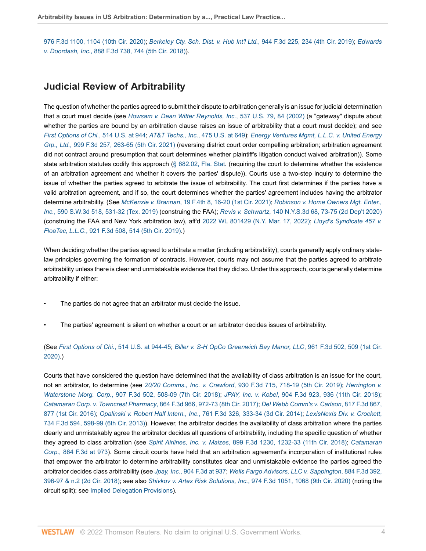[976 F.3d 1100, 1104 \(10th Cir. 2020\)](http://www.westlaw.com/Link/Document/FullText?findType=Y&serNum=2051861763&pubNum=0000506&originatingDoc=I80b60e2fc39f11e698dc8b09b4f043e0&refType=RP&fi=co_pp_sp_506_1104&originationContext=document&vr=3.0&rs=cblt1.0&transitionType=PLDocumentLink&billingHash=B42141CE829E131C2DAC0A22605E82436B02E2125787C71E4E01D07946C15EBD&contextData=(sc.Default)#co_pp_sp_506_1104); *[Berkeley Cty. Sch. Dist. v. Hub Int'l Ltd.](http://www.westlaw.com/Link/Document/FullText?findType=Y&serNum=2049772324&pubNum=0000506&originatingDoc=I80b60e2fc39f11e698dc8b09b4f043e0&refType=RP&fi=co_pp_sp_506_234&originationContext=document&vr=3.0&rs=cblt1.0&transitionType=PLDocumentLink&billingHash=EA3C9E59685741B688A3DAD59F839B1FD2391EC6B895388F9D08CFFDFA8B5FDB&contextData=(sc.Default)#co_pp_sp_506_234)*, 944 F.3d 225, 234 (4th Cir. 2019); *[Edwards](http://www.westlaw.com/Link/Document/FullText?findType=Y&serNum=2044404015&pubNum=0000506&originatingDoc=I80b60e2fc39f11e698dc8b09b4f043e0&refType=RP&fi=co_pp_sp_506_744&originationContext=document&vr=3.0&rs=cblt1.0&transitionType=PLDocumentLink&billingHash=02F196BDE0E977D327C13B50FCDCD1AAEE918477FC860904F69E76EEADF122F1&contextData=(sc.Default)#co_pp_sp_506_744) v. Doordash, Inc.*[, 888 F.3d 738, 744 \(5th Cir. 2018\)\)](http://www.westlaw.com/Link/Document/FullText?findType=Y&serNum=2044404015&pubNum=0000506&originatingDoc=I80b60e2fc39f11e698dc8b09b4f043e0&refType=RP&fi=co_pp_sp_506_744&originationContext=document&vr=3.0&rs=cblt1.0&transitionType=PLDocumentLink&billingHash=02F196BDE0E977D327C13B50FCDCD1AAEE918477FC860904F69E76EEADF122F1&contextData=(sc.Default)#co_pp_sp_506_744).

### <span id="page-3-0"></span>**Judicial Review of Arbitrability**

The question of whether the parties agreed to submit their dispute to arbitration generally is an issue for judicial determination that a court must decide (see *[Howsam v. Dean Witter Reynolds, Inc.](http://www.westlaw.com/Link/Document/FullText?findType=Y&serNum=2002764894&pubNum=0000780&originatingDoc=I80b60e2fc39f11e698dc8b09b4f043e0&refType=RP&fi=co_pp_sp_780_84&originationContext=document&vr=3.0&rs=cblt1.0&transitionType=PLDocumentLink&billingHash=443659899DAC54ACC341F8CFDC01B43D34A8836D74681B946C5B79F9CCC2E0F0&contextData=(sc.Default)#co_pp_sp_780_84)*, 537 U.S. 79, 84 (2002) (a "gateway" dispute about whether the parties are bound by an arbitration clause raises an issue of arbitrability that a court must decide); and see *[First Options of Chi.](http://www.westlaw.com/Link/Document/FullText?findType=Y&serNum=1995112780&pubNum=0000780&originatingDoc=I80b60e2fc39f11e698dc8b09b4f043e0&refType=RP&fi=co_pp_sp_780_944&originationContext=document&vr=3.0&rs=cblt1.0&transitionType=PLDocumentLink&billingHash=3AC5CB12BA7D2B400FD15FE61C3C5D60808A84F89FCF1E05159414C150052076&contextData=(sc.Default)#co_pp_sp_780_944)*, 514 U.S. at 944; *[AT&T Techs., Inc.](http://www.westlaw.com/Link/Document/FullText?findType=Y&serNum=1986117815&pubNum=0000780&originatingDoc=I80b60e2fc39f11e698dc8b09b4f043e0&refType=RP&fi=co_pp_sp_780_649&originationContext=document&vr=3.0&rs=cblt1.0&transitionType=PLDocumentLink&billingHash=A0A1ED2D551D4ED9F227639FD1301DBBE220C2F6F19EA74D9FEE93D360B457BF&contextData=(sc.Default)#co_pp_sp_780_649)*, 475 U.S. at 649); *[Energy Ventures Mgmt, L.L.C. v. United Energy](http://www.westlaw.com/Link/Document/FullText?findType=Y&serNum=2053717224&pubNum=0000506&originatingDoc=I80b60e2fc39f11e698dc8b09b4f043e0&refType=RP&fi=co_pp_sp_506_263&originationContext=document&vr=3.0&rs=cblt1.0&transitionType=PLDocumentLink&billingHash=C5DF888051F36D8EB0084707F4753F1AACCA51AF11202BBD63E03C423B3C68F2&contextData=(sc.Default)#co_pp_sp_506_263) Grp., Ltd.*[, 999 F.3d 257, 263-65 \(5th Cir. 2021\)](http://www.westlaw.com/Link/Document/FullText?findType=Y&serNum=2053717224&pubNum=0000506&originatingDoc=I80b60e2fc39f11e698dc8b09b4f043e0&refType=RP&fi=co_pp_sp_506_263&originationContext=document&vr=3.0&rs=cblt1.0&transitionType=PLDocumentLink&billingHash=C5DF888051F36D8EB0084707F4753F1AACCA51AF11202BBD63E03C423B3C68F2&contextData=(sc.Default)#co_pp_sp_506_263) (reversing district court order compelling arbitration; arbitration agreement did not contract around presumption that court determines whether plaintiff's litigation conduct waived arbitration)). Some state arbitration statutes codify this approach ([§ 682.02, Fla. Stat](http://www.westlaw.com/Link/Document/FullText?findType=L&pubNum=1000006&cite=FLSTS682.02&originatingDoc=I80b60e2fc39f11e698dc8b09b4f043e0&refType=LQ&originationContext=document&vr=3.0&rs=cblt1.0&transitionType=PLDocumentLink&billingHash=C141605F9E887ADD56380E9157983CAAA0D14A58B71E8460A8CF78A4F3B4CCE8&contextData=(sc.Default)). (requiring the court to determine whether the existence of an arbitration agreement and whether it covers the parties' dispute)). Courts use a two-step inquiry to determine the issue of whether the parties agreed to arbitrate the issue of arbitrability. The court first determines if the parties have a valid arbitration agreement, and if so, the court determines whether the parties' agreement includes having the arbitrator determine arbitrability. (See *McKenzie v. Brannan*[, 19 F.4th 8, 16-20 \(1st Cir. 2021\)](http://www.westlaw.com/Link/Document/FullText?findType=Y&serNum=2054944782&pubNum=0008173&originatingDoc=I80b60e2fc39f11e698dc8b09b4f043e0&refType=RP&fi=co_pp_sp_8173_16&originationContext=document&vr=3.0&rs=cblt1.0&transitionType=PLDocumentLink&billingHash=9C3E4752C6777EF64515B124B6B7CC3000035AE5EDE3C3DB11EB088DC612CFBD&contextData=(sc.Default)#co_pp_sp_8173_16); *[Robinson v. Home Owners Mgt. Enter.,](http://www.westlaw.com/Link/Document/FullText?findType=Y&serNum=2049675335&pubNum=0004644&originatingDoc=I80b60e2fc39f11e698dc8b09b4f043e0&refType=RP&fi=co_pp_sp_4644_531&originationContext=document&vr=3.0&rs=cblt1.0&transitionType=PLDocumentLink&billingHash=9E225D7B0A4C8A4FDAEDCCE8FD300B5A9C924EC45947BA7F5D42C397BB8899E0&contextData=(sc.Default)#co_pp_sp_4644_531) Inc.*[, 590 S.W.3d 518, 531-32 \(Tex. 2019\)](http://www.westlaw.com/Link/Document/FullText?findType=Y&serNum=2049675335&pubNum=0004644&originatingDoc=I80b60e2fc39f11e698dc8b09b4f043e0&refType=RP&fi=co_pp_sp_4644_531&originationContext=document&vr=3.0&rs=cblt1.0&transitionType=PLDocumentLink&billingHash=9E225D7B0A4C8A4FDAEDCCE8FD300B5A9C924EC45947BA7F5D42C397BB8899E0&contextData=(sc.Default)#co_pp_sp_4644_531) (construing the FAA); *Revis v. Schwartz*[, 140 N.Y.S.3d 68, 73-75 \(2d Dep't 2020\)](http://www.westlaw.com/Link/Document/FullText?findType=Y&serNum=2052658062&pubNum=0007980&originatingDoc=I80b60e2fc39f11e698dc8b09b4f043e0&refType=RP&fi=co_pp_sp_7980_73&originationContext=document&vr=3.0&rs=cblt1.0&transitionType=PLDocumentLink&billingHash=84F90A00E27211C2B02D67C2D66EEBC7E3B6A1627036C3FE1C1E7C67A463021E&contextData=(sc.Default)#co_pp_sp_7980_73) (construing the FAA and New York arbitration law), aff'd [2022 WL 801429 \(N.Y. Mar. 17, 2022\);](http://www.westlaw.com/Link/Document/FullText?findType=Y&serNum=2055733994&pubNum=0000999&originatingDoc=I80b60e2fc39f11e698dc8b09b4f043e0&refType=RP&originationContext=document&vr=3.0&rs=cblt1.0&transitionType=PLDocumentLink&billingHash=980C47A66013BD338F57387185F11B10317B47D807B566735A2D470A9E6ECE44&contextData=(sc.Default)) *[Lloyd's Syndicate 457 v.](http://www.westlaw.com/Link/Document/FullText?findType=Y&serNum=2048054874&pubNum=0000506&originatingDoc=I80b60e2fc39f11e698dc8b09b4f043e0&refType=RP&fi=co_pp_sp_506_514&originationContext=document&vr=3.0&rs=cblt1.0&transitionType=PLDocumentLink&billingHash=D08F3F5B4A75F8C9D2807078ABA5DF457D63FC089B00E19505B4E7871AD8A96C&contextData=(sc.Default)#co_pp_sp_506_514) FloaTec, L.L.C.*[, 921 F.3d 508, 514 \(5th Cir. 2019\)](http://www.westlaw.com/Link/Document/FullText?findType=Y&serNum=2048054874&pubNum=0000506&originatingDoc=I80b60e2fc39f11e698dc8b09b4f043e0&refType=RP&fi=co_pp_sp_506_514&originationContext=document&vr=3.0&rs=cblt1.0&transitionType=PLDocumentLink&billingHash=D08F3F5B4A75F8C9D2807078ABA5DF457D63FC089B00E19505B4E7871AD8A96C&contextData=(sc.Default)#co_pp_sp_506_514).)

When deciding whether the parties agreed to arbitrate a matter (including arbitrability), courts generally apply ordinary statelaw principles governing the formation of contracts. However, courts may not assume that the parties agreed to arbitrate arbitrability unless there is clear and unmistakable evidence that they did so. Under this approach, courts generally determine arbitrability if either:

- The parties do not agree that an arbitrator must decide the issue.
- The parties' agreement is silent on whether a court or an arbitrator decides issues of arbitrability.

(See *First Options of Chi.*[, 514 U.S. at 944-45;](http://www.westlaw.com/Link/Document/FullText?findType=Y&serNum=1995112780&pubNum=0000780&originatingDoc=I80b60e2fc39f11e698dc8b09b4f043e0&refType=RP&fi=co_pp_sp_780_944&originationContext=document&vr=3.0&rs=cblt1.0&transitionType=PLDocumentLink&billingHash=3AC5CB12BA7D2B400FD15FE61C3C5D60808A84F89FCF1E05159414C150052076&contextData=(sc.Default)#co_pp_sp_780_944) *[Biller v. S-H OpCo Greenwich Bay Manor, LLC](http://www.westlaw.com/Link/Document/FullText?findType=Y&serNum=2051205095&pubNum=0000506&originatingDoc=I80b60e2fc39f11e698dc8b09b4f043e0&refType=RP&fi=co_pp_sp_506_509&originationContext=document&vr=3.0&rs=cblt1.0&transitionType=PLDocumentLink&billingHash=15CBA2B9F709B2916A471E838B3FC9482269AC8ED911ADC185512B4A216FC3B9&contextData=(sc.Default)#co_pp_sp_506_509)*, 961 F.3d 502, 509 (1st Cir. [2020\)](http://www.westlaw.com/Link/Document/FullText?findType=Y&serNum=2051205095&pubNum=0000506&originatingDoc=I80b60e2fc39f11e698dc8b09b4f043e0&refType=RP&fi=co_pp_sp_506_509&originationContext=document&vr=3.0&rs=cblt1.0&transitionType=PLDocumentLink&billingHash=15CBA2B9F709B2916A471E838B3FC9482269AC8ED911ADC185512B4A216FC3B9&contextData=(sc.Default)#co_pp_sp_506_509).)

Courts that have considered the question have determined that the availability of class arbitration is an issue for the court, not an arbitrator, to determine (see *20/20 Comms., Inc. v. Crawford*[, 930 F.3d 715, 718-19 \(5th Cir. 2019\);](http://www.westlaw.com/Link/Document/FullText?findType=Y&serNum=2048741799&pubNum=0000506&originatingDoc=I80b60e2fc39f11e698dc8b09b4f043e0&refType=RP&fi=co_pp_sp_506_718&originationContext=document&vr=3.0&rs=cblt1.0&transitionType=PLDocumentLink&billingHash=E1045153EE2E38F88803523E52C7604ABBCAB942EE97A9E2E369BDA195325B70&contextData=(sc.Default)#co_pp_sp_506_718) *[Herrington v.](http://www.westlaw.com/Link/Document/FullText?findType=Y&serNum=2045822254&pubNum=0000506&originatingDoc=I80b60e2fc39f11e698dc8b09b4f043e0&refType=RP&fi=co_pp_sp_506_508&originationContext=document&vr=3.0&rs=cblt1.0&transitionType=PLDocumentLink&billingHash=4127044BCE17470E58E938829123C2D67F83D5730798157F1C03747ABCA9C7AF&contextData=(sc.Default)#co_pp_sp_506_508) Waterstone Morg. Corp.*[, 907 F.3d 502, 508-09 \(7th Cir. 2018\);](http://www.westlaw.com/Link/Document/FullText?findType=Y&serNum=2045822254&pubNum=0000506&originatingDoc=I80b60e2fc39f11e698dc8b09b4f043e0&refType=RP&fi=co_pp_sp_506_508&originationContext=document&vr=3.0&rs=cblt1.0&transitionType=PLDocumentLink&billingHash=4127044BCE17470E58E938829123C2D67F83D5730798157F1C03747ABCA9C7AF&contextData=(sc.Default)#co_pp_sp_506_508) *JPAY, Inc. v. Kobel*[, 904 F.3d 923, 936 \(11th Cir. 2018\);](http://www.westlaw.com/Link/Document/FullText?findType=Y&serNum=2045534842&pubNum=0000506&originatingDoc=I80b60e2fc39f11e698dc8b09b4f043e0&refType=RP&fi=co_pp_sp_506_936&originationContext=document&vr=3.0&rs=cblt1.0&transitionType=PLDocumentLink&billingHash=271D97BD27EA04A356018A33DE73707FEC8A79B0E1F9647E0852EB9A1A0EE418&contextData=(sc.Default)#co_pp_sp_506_936) *[Catamaran Corp. v. Towncrest Pharmacy](http://www.westlaw.com/Link/Document/FullText?findType=Y&serNum=2042259183&pubNum=0000506&originatingDoc=I80b60e2fc39f11e698dc8b09b4f043e0&refType=RP&fi=co_pp_sp_506_972&originationContext=document&vr=3.0&rs=cblt1.0&transitionType=PLDocumentLink&billingHash=6E760BDC66C82A35201D6DC009C963C616D92596DD68F65C7751A9A5FB16B981&contextData=(sc.Default)#co_pp_sp_506_972)*, 864 F.3d 966, 972-73 (8th Cir. 2017); *[Del Webb Comm's v. Carlson](http://www.westlaw.com/Link/Document/FullText?findType=Y&serNum=2038549673&pubNum=0000506&originatingDoc=I80b60e2fc39f11e698dc8b09b4f043e0&refType=RP&fi=co_pp_sp_506_877&originationContext=document&vr=3.0&rs=cblt1.0&transitionType=PLDocumentLink&billingHash=3EBDC6C3A030E258EB175FD29CCA55E603E7A1AA334F705EFE2200024E72B13A&contextData=(sc.Default)#co_pp_sp_506_877)*, 817 F.3d 867, [877 \(1st Cir. 2016\);](http://www.westlaw.com/Link/Document/FullText?findType=Y&serNum=2038549673&pubNum=0000506&originatingDoc=I80b60e2fc39f11e698dc8b09b4f043e0&refType=RP&fi=co_pp_sp_506_877&originationContext=document&vr=3.0&rs=cblt1.0&transitionType=PLDocumentLink&billingHash=3EBDC6C3A030E258EB175FD29CCA55E603E7A1AA334F705EFE2200024E72B13A&contextData=(sc.Default)#co_pp_sp_506_877) *Opalinski v. Robert Half Intern., Inc*[., 761 F.3d 326, 333-34 \(3d Cir. 2014\);](http://www.westlaw.com/Link/Document/FullText?findType=Y&serNum=2033934549&pubNum=0000506&originatingDoc=I80b60e2fc39f11e698dc8b09b4f043e0&refType=RP&fi=co_pp_sp_506_333&originationContext=document&vr=3.0&rs=cblt1.0&transitionType=PLDocumentLink&billingHash=76609D54660A9DA7791448B2FF24B57F2F1A2636658950319A273C244DE3C9A1&contextData=(sc.Default)#co_pp_sp_506_333) *[LexisNexis Div. v. Crockett](http://www.westlaw.com/Link/Document/FullText?findType=Y&serNum=2031902743&pubNum=0000506&originatingDoc=I80b60e2fc39f11e698dc8b09b4f043e0&refType=RP&fi=co_pp_sp_506_598&originationContext=document&vr=3.0&rs=cblt1.0&transitionType=PLDocumentLink&billingHash=990270806AF5D8239D15EFA081D1BDC1B4611E3754DD2789467530677C65A981&contextData=(sc.Default)#co_pp_sp_506_598)*, [734 F.3d 594, 598-99 \(6th Cir. 2013\)\)](http://www.westlaw.com/Link/Document/FullText?findType=Y&serNum=2031902743&pubNum=0000506&originatingDoc=I80b60e2fc39f11e698dc8b09b4f043e0&refType=RP&fi=co_pp_sp_506_598&originationContext=document&vr=3.0&rs=cblt1.0&transitionType=PLDocumentLink&billingHash=990270806AF5D8239D15EFA081D1BDC1B4611E3754DD2789467530677C65A981&contextData=(sc.Default)#co_pp_sp_506_598). However, the arbitrator decides the availability of class arbitration where the parties clearly and unmistakably agree the arbitrator decides all questions of arbitrability, including the specific question of whether they agreed to class arbitration (see *Spirit Airlines, Inc. v. Maizes*[, 899 F.3d 1230, 1232-33 \(11th Cir. 2018\);](http://www.westlaw.com/Link/Document/FullText?findType=Y&serNum=2045280819&pubNum=0000506&originatingDoc=I80b60e2fc39f11e698dc8b09b4f043e0&refType=RP&fi=co_pp_sp_506_1232&originationContext=document&vr=3.0&rs=cblt1.0&transitionType=PLDocumentLink&billingHash=6942D5B72ED1414F8B6340B66CAD1DE3C4999514C60B2DA1823CB563CEF5CECD&contextData=(sc.Default)#co_pp_sp_506_1232) *[Catamaran](http://www.westlaw.com/Link/Document/FullText?findType=Y&serNum=2042259183&pubNum=0000506&originatingDoc=I80b60e2fc39f11e698dc8b09b4f043e0&refType=RP&fi=co_pp_sp_506_973&originationContext=document&vr=3.0&rs=cblt1.0&transitionType=PLDocumentLink&billingHash=6E760BDC66C82A35201D6DC009C963C616D92596DD68F65C7751A9A5FB16B981&contextData=(sc.Default)#co_pp_sp_506_973) Corp.*[, 864 F.3d at 973](http://www.westlaw.com/Link/Document/FullText?findType=Y&serNum=2042259183&pubNum=0000506&originatingDoc=I80b60e2fc39f11e698dc8b09b4f043e0&refType=RP&fi=co_pp_sp_506_973&originationContext=document&vr=3.0&rs=cblt1.0&transitionType=PLDocumentLink&billingHash=6E760BDC66C82A35201D6DC009C963C616D92596DD68F65C7751A9A5FB16B981&contextData=(sc.Default)#co_pp_sp_506_973)). Some circuit courts have held that an arbitration agreement's incorporation of institutional rules that empower the arbitrator to determine arbitrability constitutes clear and unmistakable evidence the parties agreed the arbitrator decides class arbitrability (see *Jpay, Inc.*[, 904 F.3d at 937;](http://www.westlaw.com/Link/Document/FullText?findType=Y&serNum=2045534842&pubNum=0000506&originatingDoc=I80b60e2fc39f11e698dc8b09b4f043e0&refType=RP&fi=co_pp_sp_506_937&originationContext=document&vr=3.0&rs=cblt1.0&transitionType=PLDocumentLink&billingHash=271D97BD27EA04A356018A33DE73707FEC8A79B0E1F9647E0852EB9A1A0EE418&contextData=(sc.Default)#co_pp_sp_506_937) *[Wells Fargo Advisors, LLC v. Sappington](http://www.westlaw.com/Link/Document/FullText?findType=Y&serNum=2043953372&pubNum=0000506&originatingDoc=I80b60e2fc39f11e698dc8b09b4f043e0&refType=RP&fi=co_pp_sp_506_396&originationContext=document&vr=3.0&rs=cblt1.0&transitionType=PLDocumentLink&billingHash=9A1D7068124F907DA4B0B494EEF1B5894BF4D184B5B0146CB1FB288B341F519E&contextData=(sc.Default)#co_pp_sp_506_396)*, 884 F.3d 392, [396-97 & n.2 \(2d Cir. 2018\)](http://www.westlaw.com/Link/Document/FullText?findType=Y&serNum=2043953372&pubNum=0000506&originatingDoc=I80b60e2fc39f11e698dc8b09b4f043e0&refType=RP&fi=co_pp_sp_506_396&originationContext=document&vr=3.0&rs=cblt1.0&transitionType=PLDocumentLink&billingHash=9A1D7068124F907DA4B0B494EEF1B5894BF4D184B5B0146CB1FB288B341F519E&contextData=(sc.Default)#co_pp_sp_506_396); see also *Shivkov v. Artex Risk Solutions, Inc.*[, 974 F.3d 1051, 1068 \(9th Cir. 2020\)](http://www.westlaw.com/Link/Document/FullText?findType=Y&serNum=2051809379&pubNum=0000506&originatingDoc=I80b60e2fc39f11e698dc8b09b4f043e0&refType=RP&fi=co_pp_sp_506_1068&originationContext=document&vr=3.0&rs=cblt1.0&transitionType=PLDocumentLink&billingHash=538229B8C776683F01486E494154D2103D627EE39BFF539633DB8F8973D67B0F&contextData=(sc.Default)#co_pp_sp_506_1068) (noting the circuit split); see [Implied Delegation Provisions](#page-5-0)).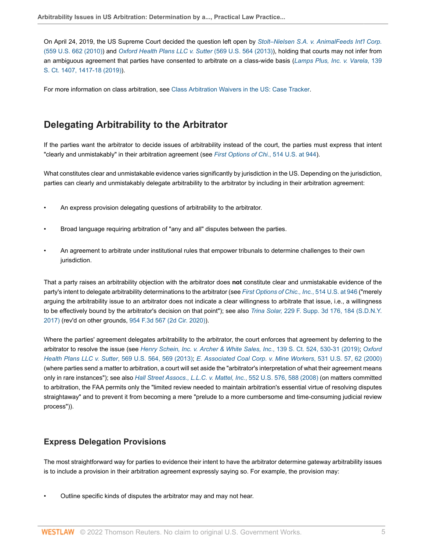On April 24, 2019, the US Supreme Court decided the question left open by *[Stolt–Nielsen S.A. v. AnimalFeeds Int'l Corp.](http://www.westlaw.com/Link/Document/FullText?findType=Y&serNum=2021840752&pubNum=0000780&originatingDoc=I80b60e2fc39f11e698dc8b09b4f043e0&refType=RP&originationContext=document&vr=3.0&rs=cblt1.0&transitionType=PLDocumentLink&billingHash=2F192F669F09483F791256AA153ACDEFC8D9CF2E433D17DC770919FEEE6CB71D&contextData=(sc.Default))* [\(559 U.S. 662 \(2010\)](http://www.westlaw.com/Link/Document/FullText?findType=Y&serNum=2021840752&pubNum=0000780&originatingDoc=I80b60e2fc39f11e698dc8b09b4f043e0&refType=RP&originationContext=document&vr=3.0&rs=cblt1.0&transitionType=PLDocumentLink&billingHash=2F192F669F09483F791256AA153ACDEFC8D9CF2E433D17DC770919FEEE6CB71D&contextData=(sc.Default))) and *[Oxford Health Plans LLC v. Sutter](http://www.westlaw.com/Link/Document/FullText?findType=Y&serNum=2030688837&pubNum=0000780&originatingDoc=I80b60e2fc39f11e698dc8b09b4f043e0&refType=RP&originationContext=document&vr=3.0&rs=cblt1.0&transitionType=PLDocumentLink&billingHash=77A725E5EA0F9F2E2B8095996CD738DBAE9C70CB94BC6D81CF8F4337734D9411&contextData=(sc.Default))* (569 U.S. 564 (2013)), holding that courts may not infer from an ambiguous agreement that parties have consented to arbitrate on a class-wide basis (*[Lamps Plus, Inc. v. Varela](http://www.westlaw.com/Link/Document/FullText?findType=Y&serNum=2048095537&pubNum=0000708&originatingDoc=I80b60e2fc39f11e698dc8b09b4f043e0&refType=RP&fi=co_pp_sp_708_1417&originationContext=document&vr=3.0&rs=cblt1.0&transitionType=PLDocumentLink&billingHash=3790A4157A42A428F93CC15A141BB71C7390D227B51CE5753BC3EE41462CFCB3&contextData=(sc.Default)#co_pp_sp_708_1417)*, 139 [S. Ct. 1407, 1417-18 \(2019\)](http://www.westlaw.com/Link/Document/FullText?findType=Y&serNum=2048095537&pubNum=0000708&originatingDoc=I80b60e2fc39f11e698dc8b09b4f043e0&refType=RP&fi=co_pp_sp_708_1417&originationContext=document&vr=3.0&rs=cblt1.0&transitionType=PLDocumentLink&billingHash=3790A4157A42A428F93CC15A141BB71C7390D227B51CE5753BC3EE41462CFCB3&contextData=(sc.Default)#co_pp_sp_708_1417)).

For more information on class arbitration, see [Class Arbitration Waivers in the US: Case Tracker](http://www.westlaw.com/Document/Id249cbde1c9611e38578f7ccc38dcbee/View/FullText.html?originationContext=document&vr=3.0&rs=cblt1.0&transitionType=DocumentItem&contextData=(sc.Default)).

## <span id="page-4-0"></span>**Delegating Arbitrability to the Arbitrator**

If the parties want the arbitrator to decide issues of arbitrability instead of the court, the parties must express that intent "clearly and unmistakably" in their arbitration agreement (see *[First Options of Chi.](http://www.westlaw.com/Link/Document/FullText?findType=Y&serNum=1995112780&pubNum=0000780&originatingDoc=I80b60e2fc39f11e698dc8b09b4f043e0&refType=RP&fi=co_pp_sp_780_944&originationContext=document&vr=3.0&rs=cblt1.0&transitionType=PLDocumentLink&billingHash=3AC5CB12BA7D2B400FD15FE61C3C5D60808A84F89FCF1E05159414C150052076&contextData=(sc.Default)#co_pp_sp_780_944)*, 514 U.S. at 944).

What constitutes clear and unmistakable evidence varies significantly by jurisdiction in the US. Depending on the jurisdiction, parties can clearly and unmistakably delegate arbitrability to the arbitrator by including in their arbitration agreement:

- An express provision delegating questions of arbitrability to the arbitrator.
- Broad language requiring arbitration of "any and all" disputes between the parties.
- An agreement to arbitrate under institutional rules that empower tribunals to determine challenges to their own jurisdiction.

That a party raises an arbitrability objection with the arbitrator does **not** constitute clear and unmistakable evidence of the party's intent to delegate arbitrability determinations to the arbitrator (see *[First Options of Chic., Inc.](http://www.westlaw.com/Link/Document/FullText?findType=Y&serNum=1995112780&pubNum=0000780&originatingDoc=I80b60e2fc39f11e698dc8b09b4f043e0&refType=RP&fi=co_pp_sp_780_946&originationContext=document&vr=3.0&rs=cblt1.0&transitionType=PLDocumentLink&billingHash=3AC5CB12BA7D2B400FD15FE61C3C5D60808A84F89FCF1E05159414C150052076&contextData=(sc.Default)#co_pp_sp_780_946)*, 514 U.S. at 946 ("merely arguing the arbitrability issue to an arbitrator does not indicate a clear willingness to arbitrate that issue, i.e., a willingness to be effectively bound by the arbitrator's decision on that point"); see also *Trina Solar,* [229 F. Supp. 3d 176, 184 \(S.D.N.Y.](http://www.westlaw.com/Link/Document/FullText?findType=Y&serNum=2040784418&pubNum=0007903&originatingDoc=I80b60e2fc39f11e698dc8b09b4f043e0&refType=RP&fi=co_pp_sp_7903_184&originationContext=document&vr=3.0&rs=cblt1.0&transitionType=PLDocumentLink&billingHash=82FEF3762496B3749E32A3E00D11DDC6E87F204E3F8193A79F5F8078F1E38143&contextData=(sc.Default)#co_pp_sp_7903_184) [2017\)](http://www.westlaw.com/Link/Document/FullText?findType=Y&serNum=2040784418&pubNum=0007903&originatingDoc=I80b60e2fc39f11e698dc8b09b4f043e0&refType=RP&fi=co_pp_sp_7903_184&originationContext=document&vr=3.0&rs=cblt1.0&transitionType=PLDocumentLink&billingHash=82FEF3762496B3749E32A3E00D11DDC6E87F204E3F8193A79F5F8078F1E38143&contextData=(sc.Default)#co_pp_sp_7903_184) (rev'd on other grounds, [954 F.3d 567 \(2d Cir. 2020\)](http://www.westlaw.com/Link/Document/FullText?findType=Y&serNum=2050691688&pubNum=0000506&originatingDoc=I80b60e2fc39f11e698dc8b09b4f043e0&refType=RP&originationContext=document&vr=3.0&rs=cblt1.0&transitionType=PLDocumentLink&billingHash=50CA0C817853015BF2EA23C6EE062290A6BD61DEE41644A994E4D384172CC8A1&contextData=(sc.Default))).

Where the parties' agreement delegates arbitrability to the arbitrator, the court enforces that agreement by deferring to the arbitrator to resolve the issue (see *[Henry Schein, Inc. v. Archer & White Sales, Inc.](http://www.westlaw.com/Link/Document/FullText?findType=Y&serNum=2047281660&pubNum=0000708&originatingDoc=I80b60e2fc39f11e698dc8b09b4f043e0&refType=RP&fi=co_pp_sp_708_530&originationContext=document&vr=3.0&rs=cblt1.0&transitionType=PLDocumentLink&billingHash=2044F61555475581333BBC9D8C484E84FE1AB1B581D19432294B54648805EAA4&contextData=(sc.Default)#co_pp_sp_708_530)*, 139 S. Ct. 524, 530-31 (2019); *[Oxford](http://www.westlaw.com/Link/Document/FullText?findType=Y&serNum=2030688837&pubNum=0000780&originatingDoc=I80b60e2fc39f11e698dc8b09b4f043e0&refType=RP&fi=co_pp_sp_780_569&originationContext=document&vr=3.0&rs=cblt1.0&transitionType=PLDocumentLink&billingHash=77A725E5EA0F9F2E2B8095996CD738DBAE9C70CB94BC6D81CF8F4337734D9411&contextData=(sc.Default)#co_pp_sp_780_569) Health Plans LLC v. Sutter*[, 569 U.S. 564, 569 \(2013\)](http://www.westlaw.com/Link/Document/FullText?findType=Y&serNum=2030688837&pubNum=0000780&originatingDoc=I80b60e2fc39f11e698dc8b09b4f043e0&refType=RP&fi=co_pp_sp_780_569&originationContext=document&vr=3.0&rs=cblt1.0&transitionType=PLDocumentLink&billingHash=77A725E5EA0F9F2E2B8095996CD738DBAE9C70CB94BC6D81CF8F4337734D9411&contextData=(sc.Default)#co_pp_sp_780_569); *[E. Associated Coal Corp. v. Mine Workers](http://www.westlaw.com/Link/Document/FullText?findType=Y&serNum=2000621001&pubNum=0000780&originatingDoc=I80b60e2fc39f11e698dc8b09b4f043e0&refType=RP&fi=co_pp_sp_780_62&originationContext=document&vr=3.0&rs=cblt1.0&transitionType=PLDocumentLink&billingHash=EF843DFCC4E2C6D6FC8F533081D3C78D02206CE66C5248E08D6424F448310857&contextData=(sc.Default)#co_pp_sp_780_62)*, 531 U.S. 57, 62 (2000) (where parties send a matter to arbitration, a court will set aside the "arbitrator's interpretation of what their agreement means only in rare instances"); see also *[Hall Street Assocs., L.L.C. v. Mattel, Inc.](http://www.westlaw.com/Link/Document/FullText?findType=Y&serNum=2015553668&pubNum=0000780&originatingDoc=I80b60e2fc39f11e698dc8b09b4f043e0&refType=RP&fi=co_pp_sp_780_588&originationContext=document&vr=3.0&rs=cblt1.0&transitionType=PLDocumentLink&billingHash=AC35F6ED31A24662319E64260D92EF8C75B3AB89D9FE8C637BAE04A62F60D98E&contextData=(sc.Default)#co_pp_sp_780_588)*, 552 U.S. 576, 588 (2008) (on matters committed to arbitration, the FAA permits only the "limited review needed to maintain arbitration's essential virtue of resolving disputes straightaway" and to prevent it from becoming a mere "prelude to a more cumbersome and time-consuming judicial review process")).

### <span id="page-4-1"></span>**Express Delegation Provisions**

The most straightforward way for parties to evidence their intent to have the arbitrator determine gateway arbitrability issues is to include a provision in their arbitration agreement expressly saying so. For example, the provision may:

• Outline specific kinds of disputes the arbitrator may and may not hear.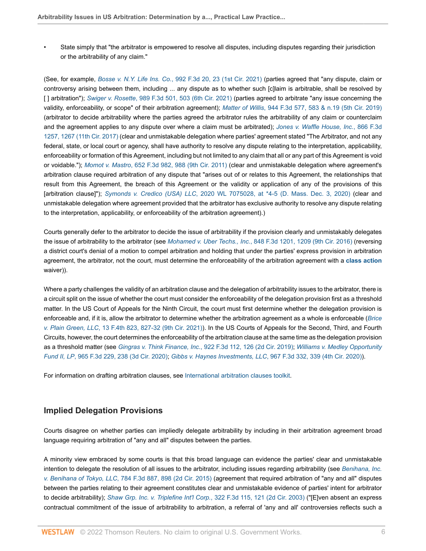• State simply that "the arbitrator is empowered to resolve all disputes, including disputes regarding their jurisdiction or the arbitrability of any claim."

(See, for example, *Bosse v. N.Y. Life Ins. Co.*[, 992 F.3d 20, 23 \(1st Cir. 2021\)](http://www.westlaw.com/Link/Document/FullText?findType=Y&serNum=2053351078&pubNum=0000506&originatingDoc=I80b60e2fc39f11e698dc8b09b4f043e0&refType=RP&fi=co_pp_sp_506_23&originationContext=document&vr=3.0&rs=cblt1.0&transitionType=PLDocumentLink&billingHash=50EC0647AA10AD8A0C593FFBF640E88C1D289FE939A71A262D4EDE194A2A06F2&contextData=(sc.Default)#co_pp_sp_506_23) (parties agreed that "any dispute, claim or controversy arising between them, including ... any dispute as to whether such [c]laim is arbitrable, shall be resolved by [ ] arbitration"); *Swiger v. Rosette*[, 989 F.3d 501, 503 \(6th Cir. 2021\)](http://www.westlaw.com/Link/Document/FullText?findType=Y&serNum=2053177101&pubNum=0000506&originatingDoc=I80b60e2fc39f11e698dc8b09b4f043e0&refType=RP&fi=co_pp_sp_506_503&originationContext=document&vr=3.0&rs=cblt1.0&transitionType=PLDocumentLink&billingHash=C6E3F784DE4B69C451A6881272C891B4AA5097F548701B5133B63C31E9B40E03&contextData=(sc.Default)#co_pp_sp_506_503) (parties agreed to arbitrate "any issue concerning the validity, enforceability, or scope" of their arbitration agreement); *Matter of Willis*[, 944 F.3d 577, 583 & n.19 \(5th Cir. 2019\)](http://www.westlaw.com/Link/Document/FullText?findType=Y&serNum=2049839839&pubNum=0000506&originatingDoc=I80b60e2fc39f11e698dc8b09b4f043e0&refType=RP&fi=co_pp_sp_506_583&originationContext=document&vr=3.0&rs=cblt1.0&transitionType=PLDocumentLink&billingHash=90A8AF0A489CB421447623639624FC8E8A2C462279F61B9FDC36D9E93C6116B6&contextData=(sc.Default)#co_pp_sp_506_583) (arbitrator to decide arbitrability where the parties agreed the arbitrator rules the arbitrability of any claim or counterclaim and the agreement applies to any dispute over where a claim must be arbitrated); *[Jones v. Waffle House, Inc.](http://www.westlaw.com/Link/Document/FullText?findType=Y&serNum=2042319140&pubNum=0000506&originatingDoc=I80b60e2fc39f11e698dc8b09b4f043e0&refType=RP&fi=co_pp_sp_506_1267&originationContext=document&vr=3.0&rs=cblt1.0&transitionType=PLDocumentLink&billingHash=636C547DF24E863D816FFB6199C04FDF38B98740EE7A5F2D9ED4FBCCF2801990&contextData=(sc.Default)#co_pp_sp_506_1267)*, 866 F.3d [1257, 1267 \(11th Cir. 2017\)](http://www.westlaw.com/Link/Document/FullText?findType=Y&serNum=2042319140&pubNum=0000506&originatingDoc=I80b60e2fc39f11e698dc8b09b4f043e0&refType=RP&fi=co_pp_sp_506_1267&originationContext=document&vr=3.0&rs=cblt1.0&transitionType=PLDocumentLink&billingHash=636C547DF24E863D816FFB6199C04FDF38B98740EE7A5F2D9ED4FBCCF2801990&contextData=(sc.Default)#co_pp_sp_506_1267) (clear and unmistakable delegation where parties' agreement stated "The Arbitrator, and not any federal, state, or local court or agency, shall have authority to resolve any dispute relating to the interpretation, applicability, enforceability or formation of this Agreement, including but not limited to any claim that all or any part of this Agreement is void or voidable."); *Momot v. Mastro*[, 652 F.3d 982, 988 \(9th Cir. 2011\)](http://www.westlaw.com/Link/Document/FullText?findType=Y&serNum=2025532094&pubNum=0000506&originatingDoc=I80b60e2fc39f11e698dc8b09b4f043e0&refType=RP&fi=co_pp_sp_506_988&originationContext=document&vr=3.0&rs=cblt1.0&transitionType=PLDocumentLink&billingHash=7847733F9F76481D9D6615A8C65A159236AA0CE206C3304EB0F0AAE17F4FEFAD&contextData=(sc.Default)#co_pp_sp_506_988) (clear and unmistakable delegation where agreement's arbitration clause required arbitration of any dispute that "arises out of or relates to this Agreement, the relationships that result from this Agreement, the breach of this Agreement or the validity or application of any of the provisions of this [arbitration clause]"); *Symonds v. Credico (USA) LLC*[, 2020 WL 7075028, at \\*4-5 \(D. Mass. Dec. 3, 2020\)](http://www.westlaw.com/Link/Document/FullText?findType=Y&serNum=2052505919&pubNum=0000999&originatingDoc=I80b60e2fc39f11e698dc8b09b4f043e0&refType=RP&fi=co_pp_sp_999_5&originationContext=document&vr=3.0&rs=cblt1.0&transitionType=PLDocumentLink&billingHash=0B0BC845DE2A12B840E4A114A87026D8AB91154BEB98806BD12767452657D9D7&contextData=(sc.Default)#co_pp_sp_999_5) (clear and unmistakable delegation where agreement provided that the arbitrator has exclusive authority to resolve any dispute relating to the interpretation, applicability, or enforceability of the arbitration agreement).)

Courts generally defer to the arbitrator to decide the issue of arbitrability if the provision clearly and unmistakably delegates the issue of arbitrability to the arbitrator (see *Mohamed v. Uber Techs., Inc.*[, 848 F.3d 1201, 1209 \(9th Cir. 2016\)](http://www.westlaw.com/Link/Document/FullText?findType=Y&serNum=2040637641&pubNum=0000506&originatingDoc=I80b60e2fc39f11e698dc8b09b4f043e0&refType=RP&fi=co_pp_sp_506_1209&originationContext=document&vr=3.0&rs=cblt1.0&transitionType=PLDocumentLink&billingHash=4ED9BADEE7B514D4C2F70F8BD3814C1578B9457DB600D032B6A2496C147E0411&contextData=(sc.Default)#co_pp_sp_506_1209) (reversing a district court's denial of a motion to compel arbitration and holding that under the parties' express provision in arbitration agreement, the arbitrator, not the court, must determine the enforceability of the arbitration agreement with a **[class action](http://www.westlaw.com/Document/I03f4dac7eee311e28578f7ccc38dcbee/View/FullText.html?originationContext=document&vr=3.0&rs=cblt1.0&transitionType=DocumentItem&contextData=(sc.Default))** waiver)).

Where a party challenges the validity of an arbitration clause and the delegation of arbitrability issues to the arbitrator, there is a circuit split on the issue of whether the court must consider the enforceability of the delegation provision first as a threshold matter. In the US Court of Appeals for the Ninth Circuit, the court must first determine whether the delegation provision is enforceable and, if it is, allow the arbitrator to determine whether the arbitration agreement as a whole is enforceable (*[Brice](http://www.westlaw.com/Link/Document/FullText?findType=Y&serNum=2054510484&pubNum=0008173&originatingDoc=I80b60e2fc39f11e698dc8b09b4f043e0&refType=RP&fi=co_pp_sp_8173_827&originationContext=document&vr=3.0&rs=cblt1.0&transitionType=PLDocumentLink&billingHash=CC1863496951E780442FC1B7FE240BC2CBE0E213FCAE094637685BB696B05B8B&contextData=(sc.Default)#co_pp_sp_8173_827) v. Plain Green, LLC*[, 13 F.4th 823, 827-32 \(9th Cir. 2021\)\)](http://www.westlaw.com/Link/Document/FullText?findType=Y&serNum=2054510484&pubNum=0008173&originatingDoc=I80b60e2fc39f11e698dc8b09b4f043e0&refType=RP&fi=co_pp_sp_8173_827&originationContext=document&vr=3.0&rs=cblt1.0&transitionType=PLDocumentLink&billingHash=CC1863496951E780442FC1B7FE240BC2CBE0E213FCAE094637685BB696B05B8B&contextData=(sc.Default)#co_pp_sp_8173_827). In the US Courts of Appeals for the Second, Third, and Fourth Circuits, however, the court determines the enforceability of the arbitration clause at the same time as the delegation provision as a threshold matter (see *Gingras v. Think Finance, Inc.*[, 922 F.3d 112, 126 \(2d Cir. 2019\)](http://www.westlaw.com/Link/Document/FullText?findType=Y&serNum=2048096062&pubNum=0000506&originatingDoc=I80b60e2fc39f11e698dc8b09b4f043e0&refType=RP&fi=co_pp_sp_506_126&originationContext=document&vr=3.0&rs=cblt1.0&transitionType=PLDocumentLink&billingHash=B6A9726F5EE63E0A7874F779FCEA1D2ED984FF0229AD706349BEC5F17583E77B&contextData=(sc.Default)#co_pp_sp_506_126); *[Williams v. Medley Opportunity](http://www.westlaw.com/Link/Document/FullText?findType=Y&serNum=2051455814&pubNum=0000506&originatingDoc=I80b60e2fc39f11e698dc8b09b4f043e0&refType=RP&fi=co_pp_sp_506_238&originationContext=document&vr=3.0&rs=cblt1.0&transitionType=PLDocumentLink&billingHash=C045270E73BDACBE572B81906BE68784BE7B12B805BDF2FB898DF7DE3D48A966&contextData=(sc.Default)#co_pp_sp_506_238) Fund II, LP*[, 965 F.3d 229, 238 \(3d Cir. 2020\);](http://www.westlaw.com/Link/Document/FullText?findType=Y&serNum=2051455814&pubNum=0000506&originatingDoc=I80b60e2fc39f11e698dc8b09b4f043e0&refType=RP&fi=co_pp_sp_506_238&originationContext=document&vr=3.0&rs=cblt1.0&transitionType=PLDocumentLink&billingHash=C045270E73BDACBE572B81906BE68784BE7B12B805BDF2FB898DF7DE3D48A966&contextData=(sc.Default)#co_pp_sp_506_238) *[Gibbs v. Haynes Investments, LLC](http://www.westlaw.com/Link/Document/FullText?findType=Y&serNum=2051493956&pubNum=0000506&originatingDoc=I80b60e2fc39f11e698dc8b09b4f043e0&refType=RP&fi=co_pp_sp_506_339&originationContext=document&vr=3.0&rs=cblt1.0&transitionType=PLDocumentLink&billingHash=4D815FFF13A021BBB5892BA4282887BC0BD78EE1E50E15B4186F2D4E0C027F2C&contextData=(sc.Default)#co_pp_sp_506_339)*, 967 F.3d 332, 339 (4th Cir. 2020)).

For information on drafting arbitration clauses, see [International arbitration clauses toolkit.](http://www.westlaw.com/Document/Ibb0a152aef0511e28578f7ccc38dcbee/View/FullText.html?originationContext=document&vr=3.0&rs=cblt1.0&transitionType=DocumentItem&contextData=(sc.Default))

#### <span id="page-5-0"></span>**Implied Delegation Provisions**

Courts disagree on whether parties can impliedly delegate arbitrability by including in their arbitration agreement broad language requiring arbitration of "any and all" disputes between the parties.

A minority view embraced by some courts is that this broad language can evidence the parties' clear and unmistakable intention to delegate the resolution of all issues to the arbitrator, including issues regarding arbitrability (see *[Benihana, Inc.](http://www.westlaw.com/Link/Document/FullText?findType=Y&serNum=2036163311&pubNum=0000506&originatingDoc=I80b60e2fc39f11e698dc8b09b4f043e0&refType=RP&fi=co_pp_sp_506_898&originationContext=document&vr=3.0&rs=cblt1.0&transitionType=PLDocumentLink&billingHash=D896A48F46584EA9AD9043985CADD2A30CF39D05C57C48AAE7DD615083E42DC0&contextData=(sc.Default)#co_pp_sp_506_898) v. Benihana of Tokyo, LLC*[, 784 F.3d 887, 898 \(2d Cir. 2015\)](http://www.westlaw.com/Link/Document/FullText?findType=Y&serNum=2036163311&pubNum=0000506&originatingDoc=I80b60e2fc39f11e698dc8b09b4f043e0&refType=RP&fi=co_pp_sp_506_898&originationContext=document&vr=3.0&rs=cblt1.0&transitionType=PLDocumentLink&billingHash=D896A48F46584EA9AD9043985CADD2A30CF39D05C57C48AAE7DD615083E42DC0&contextData=(sc.Default)#co_pp_sp_506_898) (agreement that required arbitration of "any and all" disputes between the parties relating to their agreement constitutes clear and unmistakable evidence of parties' intent for arbitrator to decide arbitrability); *[Shaw Grp. Inc. v. Triplefine Int'l Corp.](http://www.westlaw.com/Link/Document/FullText?findType=Y&serNum=2003192033&pubNum=0000506&originatingDoc=I80b60e2fc39f11e698dc8b09b4f043e0&refType=RP&fi=co_pp_sp_506_121&originationContext=document&vr=3.0&rs=cblt1.0&transitionType=PLDocumentLink&billingHash=61C54E859E94878F01491B1E97341FC02932839C61F37EF253445C091F2A45BF&contextData=(sc.Default)#co_pp_sp_506_121)*, 322 F.3d 115, 121 (2d Cir. 2003) ("[E]ven absent an express contractual commitment of the issue of arbitrability to arbitration, a referral of 'any and all' controversies reflects such a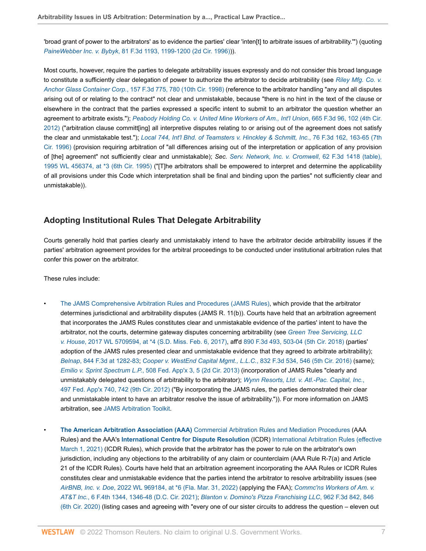'broad grant of power to the arbitrators' as to evidence the parties' clear 'inten[t] to arbitrate issues of arbitrability.'") (quoting *PaineWebber Inc. v. Bybyk*[, 81 F.3d 1193, 1199-1200 \(2d Cir. 1996\)\)](http://www.westlaw.com/Link/Document/FullText?findType=Y&serNum=1996098792&pubNum=0000506&originatingDoc=I80b60e2fc39f11e698dc8b09b4f043e0&refType=RP&fi=co_pp_sp_506_1199&originationContext=document&vr=3.0&rs=cblt1.0&transitionType=PLDocumentLink&billingHash=FBE24F9A86E1818DC760B373C357E88BB481CF430ABD266FE395951E72429527&contextData=(sc.Default)#co_pp_sp_506_1199)).

Most courts, however, require the parties to delegate arbitrability issues expressly and do not consider this broad language to constitute a sufficiently clear delegation of power to authorize the arbitrator to decide arbitrability (see *[Riley Mfg. Co. v.](http://www.westlaw.com/Link/Document/FullText?findType=Y&serNum=1998189238&pubNum=0000506&originatingDoc=I80b60e2fc39f11e698dc8b09b4f043e0&refType=RP&fi=co_pp_sp_506_780&originationContext=document&vr=3.0&rs=cblt1.0&transitionType=PLDocumentLink&billingHash=7E276237175101D14CBCB382AFAC316FBF27FCD5D562F1BA63EE2C1424F98591&contextData=(sc.Default)#co_pp_sp_506_780) Anchor Glass Container Corp.*[, 157 F.3d 775, 780 \(10th Cir. 1998\)](http://www.westlaw.com/Link/Document/FullText?findType=Y&serNum=1998189238&pubNum=0000506&originatingDoc=I80b60e2fc39f11e698dc8b09b4f043e0&refType=RP&fi=co_pp_sp_506_780&originationContext=document&vr=3.0&rs=cblt1.0&transitionType=PLDocumentLink&billingHash=7E276237175101D14CBCB382AFAC316FBF27FCD5D562F1BA63EE2C1424F98591&contextData=(sc.Default)#co_pp_sp_506_780) (reference to the arbitrator handling "any and all disputes arising out of or relating to the contract" not clear and unmistakable, because "there is no hint in the text of the clause or elsewhere in the contract that the parties expressed a specific intent to submit to an arbitrator the question whether an agreement to arbitrate exists."); *[Peabody Holding Co. v. United Mine Workers of Am., Int'l Union](http://www.westlaw.com/Link/Document/FullText?findType=Y&serNum=2026845526&pubNum=0000506&originatingDoc=I80b60e2fc39f11e698dc8b09b4f043e0&refType=RP&fi=co_pp_sp_506_102&originationContext=document&vr=3.0&rs=cblt1.0&transitionType=PLDocumentLink&billingHash=08667ADD0B56553B68348ED95897F36BF57652657CFE66B5BC99405EC941D63F&contextData=(sc.Default)#co_pp_sp_506_102)*, 665 F.3d 96, 102 (4th Cir. [2012\)](http://www.westlaw.com/Link/Document/FullText?findType=Y&serNum=2026845526&pubNum=0000506&originatingDoc=I80b60e2fc39f11e698dc8b09b4f043e0&refType=RP&fi=co_pp_sp_506_102&originationContext=document&vr=3.0&rs=cblt1.0&transitionType=PLDocumentLink&billingHash=08667ADD0B56553B68348ED95897F36BF57652657CFE66B5BC99405EC941D63F&contextData=(sc.Default)#co_pp_sp_506_102) ("arbitration clause committ[ing] all interpretive disputes relating to or arising out of the agreement does not satisfy the clear and unmistakable test."); *[Local 744, Int'l Bhd. of Teamsters v. Hinckley & Schmitt, Inc.](http://www.westlaw.com/Link/Document/FullText?findType=Y&serNum=1996049092&pubNum=0000506&originatingDoc=I80b60e2fc39f11e698dc8b09b4f043e0&refType=RP&fi=co_pp_sp_506_163&originationContext=document&vr=3.0&rs=cblt1.0&transitionType=PLDocumentLink&billingHash=AD4F602D58F60B21A4F1506ED59EAD86816828BD147794ADC6B7CA57F6C30C63&contextData=(sc.Default)#co_pp_sp_506_163)*, 76 F.3d 162, 163-65 (7th [Cir. 1996\)](http://www.westlaw.com/Link/Document/FullText?findType=Y&serNum=1996049092&pubNum=0000506&originatingDoc=I80b60e2fc39f11e698dc8b09b4f043e0&refType=RP&fi=co_pp_sp_506_163&originationContext=document&vr=3.0&rs=cblt1.0&transitionType=PLDocumentLink&billingHash=AD4F602D58F60B21A4F1506ED59EAD86816828BD147794ADC6B7CA57F6C30C63&contextData=(sc.Default)#co_pp_sp_506_163) (provision requiring arbitration of "all differences arising out of the interpretation or application of any provision of [the] agreement" not sufficiently clear and unmistakable); *Sec. [Serv. Network, Inc. v. Cromwell](http://www.westlaw.com/Link/Document/FullText?findType=Y&serNum=1995160695&pubNum=0000506&originatingDoc=I80b60e2fc39f11e698dc8b09b4f043e0&refType=RP&originationContext=document&vr=3.0&rs=cblt1.0&transitionType=PLDocumentLink&billingHash=0A2F9C85962A430882EA6261E4F8BC241B16CC4C7CC1271C92119029B1DBDEB1&contextData=(sc.Default))*, 62 F.3d 1418 (table), [1995 WL 456374, at \\*3 \(6th Cir. 1995\)](http://www.westlaw.com/Link/Document/FullText?findType=Y&serNum=1995160695&pubNum=0000506&originatingDoc=I80b60e2fc39f11e698dc8b09b4f043e0&refType=RP&originationContext=document&vr=3.0&rs=cblt1.0&transitionType=PLDocumentLink&billingHash=0A2F9C85962A430882EA6261E4F8BC241B16CC4C7CC1271C92119029B1DBDEB1&contextData=(sc.Default)) ("[T]he arbitrators shall be empowered to interpret and determine the applicability of all provisions under this Code which interpretation shall be final and binding upon the parties" not sufficiently clear and unmistakable)).

#### <span id="page-6-0"></span>**Adopting Institutional Rules That Delegate Arbitrability**

Courts generally hold that parties clearly and unmistakably intend to have the arbitrator decide arbitrability issues if the parties' arbitration agreement provides for the arbitral proceedings to be conducted under institutional arbitration rules that confer this power on the arbitrator.

These rules include:

• [The JAMS Comprehensive Arbitration Rules and Procedures \(JAMS Rules\)](https://www.jamsadr.com/rules-comprehensive-arbitration/ ), which provide that the arbitrator determines jurisdictional and arbitrability disputes (JAMS R. 11(b)). Courts have held that an arbitration agreement that incorporates the JAMS Rules constitutes clear and unmistakable evidence of the parties' intent to have the arbitrator, not the courts, determine gateway disputes concerning arbitrability (see *[Green Tree Servicing, LLC](http://www.westlaw.com/Link/Document/FullText?findType=Y&serNum=2043269613&pubNum=0000999&originatingDoc=I80b60e2fc39f11e698dc8b09b4f043e0&refType=RP&fi=co_pp_sp_999_4&originationContext=document&vr=3.0&rs=cblt1.0&transitionType=PLDocumentLink&billingHash=82546AA4121736EB5BDC5C6E37869D91295B8268C578CE5CA6FF7CBE5103D97D&contextData=(sc.Default)#co_pp_sp_999_4) v. House*[, 2017 WL 5709594, at \\*4 \(S.D. Miss. Feb. 6, 2017\)](http://www.westlaw.com/Link/Document/FullText?findType=Y&serNum=2043269613&pubNum=0000999&originatingDoc=I80b60e2fc39f11e698dc8b09b4f043e0&refType=RP&fi=co_pp_sp_999_4&originationContext=document&vr=3.0&rs=cblt1.0&transitionType=PLDocumentLink&billingHash=82546AA4121736EB5BDC5C6E37869D91295B8268C578CE5CA6FF7CBE5103D97D&contextData=(sc.Default)#co_pp_sp_999_4), aff'd [890 F.3d 493, 503-04 \(5th Cir. 2018\)](http://www.westlaw.com/Link/Document/FullText?findType=Y&serNum=2044524085&pubNum=0000506&originatingDoc=I80b60e2fc39f11e698dc8b09b4f043e0&refType=RP&fi=co_pp_sp_506_503&originationContext=document&vr=3.0&rs=cblt1.0&transitionType=PLDocumentLink&billingHash=6CDD286E5C8C9412D80CF2F796D669D63CA4D11CF1A6BB9528E261339543E4E5&contextData=(sc.Default)#co_pp_sp_506_503) (parties' adoption of the JAMS rules presented clear and unmistakable evidence that they agreed to arbitrate arbitrability); *Belnap*[, 844 F.3d at 1282-83](http://www.westlaw.com/Link/Document/FullText?findType=Y&serNum=2040705040&pubNum=0000506&originatingDoc=I80b60e2fc39f11e698dc8b09b4f043e0&refType=RP&fi=co_pp_sp_506_1282&originationContext=document&vr=3.0&rs=cblt1.0&transitionType=PLDocumentLink&billingHash=F8315A67F28CAEBDCF9EF966B18D87D57C60E337A48EB569A5D79CE7D0F7CDCB&contextData=(sc.Default)#co_pp_sp_506_1282); *[Cooper v. WestEnd Capital Mgmt., L.L.C.](http://www.westlaw.com/Link/Document/FullText?findType=Y&serNum=2039547415&pubNum=0000506&originatingDoc=I80b60e2fc39f11e698dc8b09b4f043e0&refType=RP&fi=co_pp_sp_506_546&originationContext=document&vr=3.0&rs=cblt1.0&transitionType=PLDocumentLink&billingHash=90303D571E5194B47BC968AA3168CF3057EBD644D0EE23CCD5226B3396CC16B8&contextData=(sc.Default)#co_pp_sp_506_546)*, 832 F.3d 534, 546 (5th Cir. 2016) (same); *Emilio v. Sprint Spectrum L.P.*[, 508 Fed. App'x 3, 5 \(2d Cir. 2013\)](http://www.westlaw.com/Link/Document/FullText?findType=Y&serNum=2029677656&pubNum=0006538&originatingDoc=I80b60e2fc39f11e698dc8b09b4f043e0&refType=RP&fi=co_pp_sp_6538_5&originationContext=document&vr=3.0&rs=cblt1.0&transitionType=PLDocumentLink&billingHash=6593D6F94363E27999A5D2DAC16A18C00A560380B5AE896EAA871AB94525C456&contextData=(sc.Default)#co_pp_sp_6538_5) (incorporation of JAMS Rules "clearly and unmistakably delegated questions of arbitrability to the arbitrator); *[Wynn Resorts, Ltd. v. Atl.-Pac. Capital, Inc.](http://www.westlaw.com/Link/Document/FullText?findType=Y&serNum=2029186802&pubNum=0006538&originatingDoc=I80b60e2fc39f11e698dc8b09b4f043e0&refType=RP&fi=co_pp_sp_6538_742&originationContext=document&vr=3.0&rs=cblt1.0&transitionType=PLDocumentLink&billingHash=D1E3FD447EFF29B74958C6C72FA068443085B0A940FDFDA276771BF41A283A16&contextData=(sc.Default)#co_pp_sp_6538_742)*, [497 Fed. App'x 740, 742 \(9th Cir. 2012\)](http://www.westlaw.com/Link/Document/FullText?findType=Y&serNum=2029186802&pubNum=0006538&originatingDoc=I80b60e2fc39f11e698dc8b09b4f043e0&refType=RP&fi=co_pp_sp_6538_742&originationContext=document&vr=3.0&rs=cblt1.0&transitionType=PLDocumentLink&billingHash=D1E3FD447EFF29B74958C6C72FA068443085B0A940FDFDA276771BF41A283A16&contextData=(sc.Default)#co_pp_sp_6538_742) ("By incorporating the JAMS rules, the parties demonstrated their clear and unmistakable intent to have an arbitrator resolve the issue of arbitrability.")). For more information on JAMS arbitration, see [JAMS Arbitration Toolkit](http://www.westlaw.com/Document/I0817977b8cda11e598dc8b09b4f043e0/View/FullText.html?originationContext=document&vr=3.0&rs=cblt1.0&transitionType=DocumentItem&contextData=(sc.Default)).

• **[The American Arbitration Association \(AAA\)](http://www.westlaw.com/Document/I1c633929ef2811e28578f7ccc38dcbee/View/FullText.html?originationContext=document&vr=3.0&rs=cblt1.0&transitionType=DocumentItem&contextData=(sc.Default))** [Commercial Arbitration Rules and Mediation Procedures](http://www.adr.org/sites/default/files/Commercial-Rules-Web.pdf) (AAA Rules) and the AAA's **[International Centre for Dispute Resolution](http://www.westlaw.com/Document/Id4cfb590f3ad11e28578f7ccc38dcbee/View/FullText.html?originationContext=document&vr=3.0&rs=cblt1.0&transitionType=DocumentItem&contextData=(sc.Default))** (ICDR) [International Arbitration Rules \(effective](https://icdr.org/sites/default/files/document_repository/ICDR_Rules_0.pdf?utm_source=icdr-website&utm_medium=rules-page&utm_campaign=rules-intl-update-1mar ) [March 1, 2021\)](https://icdr.org/sites/default/files/document_repository/ICDR_Rules_0.pdf?utm_source=icdr-website&utm_medium=rules-page&utm_campaign=rules-intl-update-1mar ) (ICDR Rules), which provide that the arbitrator has the power to rule on the arbitrator's own jurisdiction, including any objections to the arbitrability of any claim or counterclaim (AAA Rule R-7(a) and Article 21 of the ICDR Rules). Courts have held that an arbitration agreement incorporating the AAA Rules or ICDR Rules constitutes clear and unmistakable evidence that the parties intend the arbitrator to resolve arbitrability issues (see *AirBNB, Inc. v. Doe*[, 2022 WL 969184, at \\*6 \(Fla. Mar. 31, 2022\)](http://www.westlaw.com/Link/Document/FullText?findType=Y&serNum=2055860588&pubNum=0000999&originatingDoc=I80b60e2fc39f11e698dc8b09b4f043e0&refType=RP&fi=co_pp_sp_999_6&originationContext=document&vr=3.0&rs=cblt1.0&transitionType=PLDocumentLink&billingHash=350E48C11C1EC02C0509D3E8A0702A03B27543A9358043C14032E660447687F4&contextData=(sc.Default)#co_pp_sp_999_6) (applying the FAA); *[Commc'ns Workers of Am. v.](http://www.westlaw.com/Link/Document/FullText?findType=Y&serNum=2054229281&pubNum=0008173&originatingDoc=I80b60e2fc39f11e698dc8b09b4f043e0&refType=RP&fi=co_pp_sp_8173_1346&originationContext=document&vr=3.0&rs=cblt1.0&transitionType=PLDocumentLink&billingHash=C864AB2D7CFB8AD0B51B670C1A0116FE4F603A63BC3AFD550A5EE1F2C798AADC&contextData=(sc.Default)#co_pp_sp_8173_1346) AT&T Inc.*[, 6 F.4th 1344, 1346-48 \(D.C. Cir. 2021\);](http://www.westlaw.com/Link/Document/FullText?findType=Y&serNum=2054229281&pubNum=0008173&originatingDoc=I80b60e2fc39f11e698dc8b09b4f043e0&refType=RP&fi=co_pp_sp_8173_1346&originationContext=document&vr=3.0&rs=cblt1.0&transitionType=PLDocumentLink&billingHash=C864AB2D7CFB8AD0B51B670C1A0116FE4F603A63BC3AFD550A5EE1F2C798AADC&contextData=(sc.Default)#co_pp_sp_8173_1346) *[Blanton v. Domino's Pizza Franchising LLC](http://www.westlaw.com/Link/Document/FullText?findType=Y&serNum=2051264473&pubNum=0000506&originatingDoc=I80b60e2fc39f11e698dc8b09b4f043e0&refType=RP&fi=co_pp_sp_506_846&originationContext=document&vr=3.0&rs=cblt1.0&transitionType=PLDocumentLink&billingHash=7FDA507DEC2BE73A346EC363955E2AE435A77B2B72B1DF87F58F9D9710AFB1A8&contextData=(sc.Default)#co_pp_sp_506_846)*, 962 F.3d 842, 846 [\(6th Cir. 2020\)](http://www.westlaw.com/Link/Document/FullText?findType=Y&serNum=2051264473&pubNum=0000506&originatingDoc=I80b60e2fc39f11e698dc8b09b4f043e0&refType=RP&fi=co_pp_sp_506_846&originationContext=document&vr=3.0&rs=cblt1.0&transitionType=PLDocumentLink&billingHash=7FDA507DEC2BE73A346EC363955E2AE435A77B2B72B1DF87F58F9D9710AFB1A8&contextData=(sc.Default)#co_pp_sp_506_846) (listing cases and agreeing with "every one of our sister circuits to address the question – eleven out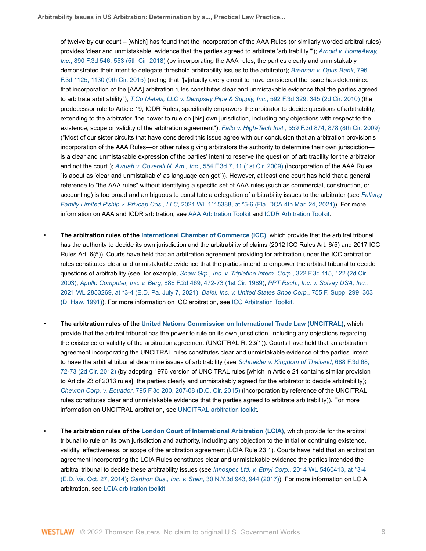of twelve by our count – [which] has found that the incorporation of the AAA Rules (or similarly worded arbitral rules) provides 'clear and unmistakable' evidence that the parties agreed to arbitrate 'arbitrability.'"); *[Arnold v. HomeAway,](http://www.westlaw.com/Link/Document/FullText?findType=Y&serNum=2044539393&pubNum=0000506&originatingDoc=I80b60e2fc39f11e698dc8b09b4f043e0&refType=RP&fi=co_pp_sp_506_553&originationContext=document&vr=3.0&rs=cblt1.0&transitionType=PLDocumentLink&billingHash=05E33498A9E2FDC1B09BE2C36A905B59C5FF5553E3815D9E47F0F7060DB02B7D&contextData=(sc.Default)#co_pp_sp_506_553) Inc.*[, 890 F.3d 546, 553 \(5th Cir. 2018\)](http://www.westlaw.com/Link/Document/FullText?findType=Y&serNum=2044539393&pubNum=0000506&originatingDoc=I80b60e2fc39f11e698dc8b09b4f043e0&refType=RP&fi=co_pp_sp_506_553&originationContext=document&vr=3.0&rs=cblt1.0&transitionType=PLDocumentLink&billingHash=05E33498A9E2FDC1B09BE2C36A905B59C5FF5553E3815D9E47F0F7060DB02B7D&contextData=(sc.Default)#co_pp_sp_506_553) (by incorporating the AAA rules, the parties clearly and unmistakably demonstrated their intent to delegate threshold arbitrability issues to the arbitrator); *[Brennan v. Opus Bank](http://www.westlaw.com/Link/Document/FullText?findType=Y&serNum=2036863121&pubNum=0000506&originatingDoc=I80b60e2fc39f11e698dc8b09b4f043e0&refType=RP&fi=co_pp_sp_506_1130&originationContext=document&vr=3.0&rs=cblt1.0&transitionType=PLDocumentLink&billingHash=EC2E79C10D0DF57379B860CA800F3ADE58E9C1DBA0907FB6D5AED139E93DE017&contextData=(sc.Default)#co_pp_sp_506_1130)*, 796 [F.3d 1125, 1130 \(9th Cir. 2015\)](http://www.westlaw.com/Link/Document/FullText?findType=Y&serNum=2036863121&pubNum=0000506&originatingDoc=I80b60e2fc39f11e698dc8b09b4f043e0&refType=RP&fi=co_pp_sp_506_1130&originationContext=document&vr=3.0&rs=cblt1.0&transitionType=PLDocumentLink&billingHash=EC2E79C10D0DF57379B860CA800F3ADE58E9C1DBA0907FB6D5AED139E93DE017&contextData=(sc.Default)#co_pp_sp_506_1130) (noting that "[v]irtually every circuit to have considered the issue has determined that incorporation of the [AAA] arbitration rules constitutes clear and unmistakable evidence that the parties agreed to arbitrate arbitrability"); *[T.Co Metals, LLC v. Dempsey Pipe & Supply, Inc.](http://www.westlaw.com/Link/Document/FullText?findType=Y&serNum=2021126967&pubNum=0000506&originatingDoc=I80b60e2fc39f11e698dc8b09b4f043e0&refType=RP&fi=co_pp_sp_506_345&originationContext=document&vr=3.0&rs=cblt1.0&transitionType=PLDocumentLink&billingHash=0568ACE04B91925C02496560DFF765A9381AABBA40843428380B804080232710&contextData=(sc.Default)#co_pp_sp_506_345)*, 592 F.3d 329, 345 (2d Cir. 2010) (the predecessor rule to Article 19, ICDR Rules, specifically empowers the arbitrator to decide questions of arbitrability, extending to the arbitrator "the power to rule on [his] own jurisdiction, including any objections with respect to the existence, scope or validity of the arbitration agreement"); *Fallo v. High-Tech Inst.*[, 559 F.3d 874, 878 \(8th Cir. 2009\)](http://www.westlaw.com/Link/Document/FullText?findType=Y&serNum=2018419172&pubNum=0000506&originatingDoc=I80b60e2fc39f11e698dc8b09b4f043e0&refType=RP&fi=co_pp_sp_506_878&originationContext=document&vr=3.0&rs=cblt1.0&transitionType=PLDocumentLink&billingHash=99FE520C0AD4768F4CA5BCC68115F752A60241D3CF3CC429F189431F630EE384&contextData=(sc.Default)#co_pp_sp_506_878) ("Most of our sister circuits that have considered this issue agree with our conclusion that an arbitration provision's incorporation of the AAA Rules—or other rules giving arbitrators the authority to determine their own jurisdiction is a clear and unmistakable expression of the parties' intent to reserve the question of arbitrability for the arbitrator and not the court"); *Awuah v. Coverall N. Am., Inc.*[, 554 F.3d 7, 11 \(1st Cir. 2009\)](http://www.westlaw.com/Link/Document/FullText?findType=Y&serNum=2017943695&pubNum=0000506&originatingDoc=I80b60e2fc39f11e698dc8b09b4f043e0&refType=RP&fi=co_pp_sp_506_11&originationContext=document&vr=3.0&rs=cblt1.0&transitionType=PLDocumentLink&billingHash=7ADC4CF02A8C13E558D69240B8ED226D6E18CFB655B02D293BDB1DF5EF771F08&contextData=(sc.Default)#co_pp_sp_506_11) (incorporation of the AAA Rules "is about as 'clear and unmistakable' as language can get")). However, at least one court has held that a general reference to "the AAA rules" without identifying a specific set of AAA rules (such as commercial, construction, or accounting) is too broad and ambiguous to constitute a delegation of arbitrability issues to the arbitrator (see *[Fallang](http://www.westlaw.com/Link/Document/FullText?findType=Y&serNum=2053311715&pubNum=0000999&originatingDoc=I80b60e2fc39f11e698dc8b09b4f043e0&refType=RP&fi=co_pp_sp_999_6&originationContext=document&vr=3.0&rs=cblt1.0&transitionType=PLDocumentLink&billingHash=20341F4765A26FB34996AE92A52351F079FCD9C648F256A99FFF854A03398B85&contextData=(sc.Default)#co_pp_sp_999_6) Family Limited P'ship v. Privcap Cos., LLC*[, 2021 WL 1115388, at \\*5-6 \(Fla. DCA 4th Mar. 24, 2021\)\)](http://www.westlaw.com/Link/Document/FullText?findType=Y&serNum=2053311715&pubNum=0000999&originatingDoc=I80b60e2fc39f11e698dc8b09b4f043e0&refType=RP&fi=co_pp_sp_999_6&originationContext=document&vr=3.0&rs=cblt1.0&transitionType=PLDocumentLink&billingHash=20341F4765A26FB34996AE92A52351F079FCD9C648F256A99FFF854A03398B85&contextData=(sc.Default)#co_pp_sp_999_6). For more information on AAA and ICDR arbitration, see [AAA Arbitration Toolkit](http://www.westlaw.com/Document/I069a82b8835b11e598dc8b09b4f043e0/View/FullText.html?originationContext=document&vr=3.0&rs=cblt1.0&transitionType=DocumentItem&contextData=(sc.Default)) and [ICDR Arbitration Toolkit.](http://www.westlaw.com/Document/I1dc3cfae86f111e598dc8b09b4f043e0/View/FullText.html?originationContext=document&vr=3.0&rs=cblt1.0&transitionType=DocumentItem&contextData=(sc.Default))

- **The arbitration rules of the [International Chamber of Commerce \(ICC\)](http://www.westlaw.com/Document/I1c633739ef2811e28578f7ccc38dcbee/View/FullText.html?originationContext=document&vr=3.0&rs=cblt1.0&transitionType=DocumentItem&contextData=(sc.Default))**, which provide that the arbitral tribunal has the authority to decide its own jurisdiction and the arbitrability of claims (2012 ICC Rules Art. 6(5) and 2017 ICC Rules Art. 6(5)). Courts have held that an arbitration agreement providing for arbitration under the ICC arbitration rules constitutes clear and unmistakable evidence that the parties intend to empower the arbitral tribunal to decide questions of arbitrability (see, for example, *[Shaw Grp., Inc. v. Triplefine Intern. Corp.](http://www.westlaw.com/Link/Document/FullText?findType=Y&serNum=2003192033&pubNum=0000506&originatingDoc=I80b60e2fc39f11e698dc8b09b4f043e0&refType=RP&fi=co_pp_sp_506_122&originationContext=document&vr=3.0&rs=cblt1.0&transitionType=PLDocumentLink&billingHash=61C54E859E94878F01491B1E97341FC02932839C61F37EF253445C091F2A45BF&contextData=(sc.Default)#co_pp_sp_506_122)*, 322 F.3d 115, 122 (2d Cir. [2003\)](http://www.westlaw.com/Link/Document/FullText?findType=Y&serNum=2003192033&pubNum=0000506&originatingDoc=I80b60e2fc39f11e698dc8b09b4f043e0&refType=RP&fi=co_pp_sp_506_122&originationContext=document&vr=3.0&rs=cblt1.0&transitionType=PLDocumentLink&billingHash=61C54E859E94878F01491B1E97341FC02932839C61F37EF253445C091F2A45BF&contextData=(sc.Default)#co_pp_sp_506_122); *Apollo Computer, Inc. v. Berg*[, 886 F.2d 469, 472-73 \(1st Cir. 1989\)](http://www.westlaw.com/Link/Document/FullText?findType=Y&serNum=1989137307&pubNum=0000350&originatingDoc=I80b60e2fc39f11e698dc8b09b4f043e0&refType=RP&fi=co_pp_sp_350_472&originationContext=document&vr=3.0&rs=cblt1.0&transitionType=PLDocumentLink&billingHash=FA81DF90BE28FCFD6B11754AA3BF0079A9C83D245FC76ECFD8B5C5183C1D40C6&contextData=(sc.Default)#co_pp_sp_350_472); *[PPT Rsch., Inc. v. Solvay USA, Inc.](http://www.westlaw.com/Link/Document/FullText?findType=Y&serNum=2053977542&pubNum=0000999&originatingDoc=I80b60e2fc39f11e698dc8b09b4f043e0&refType=RP&fi=co_pp_sp_999_4&originationContext=document&vr=3.0&rs=cblt1.0&transitionType=PLDocumentLink&billingHash=54EDB49AE9BC84BC984D4D832725C5F9BDE0EBA700FC42AFCE108344A60D02A1&contextData=(sc.Default)#co_pp_sp_999_4)*, [2021 WL 2853269, at \\*3-4 \(E.D. Pa. July 7, 2021\);](http://www.westlaw.com/Link/Document/FullText?findType=Y&serNum=2053977542&pubNum=0000999&originatingDoc=I80b60e2fc39f11e698dc8b09b4f043e0&refType=RP&fi=co_pp_sp_999_4&originationContext=document&vr=3.0&rs=cblt1.0&transitionType=PLDocumentLink&billingHash=54EDB49AE9BC84BC984D4D832725C5F9BDE0EBA700FC42AFCE108344A60D02A1&contextData=(sc.Default)#co_pp_sp_999_4) *[Daiei, Inc. v. United States Shoe Corp.](http://www.westlaw.com/Link/Document/FullText?findType=Y&serNum=1991034683&pubNum=0000345&originatingDoc=I80b60e2fc39f11e698dc8b09b4f043e0&refType=RP&fi=co_pp_sp_345_303&originationContext=document&vr=3.0&rs=cblt1.0&transitionType=PLDocumentLink&billingHash=3E81336333DBACFD075F9496D44CFA76699D6F500830F355D94936F78359DB55&contextData=(sc.Default)#co_pp_sp_345_303)*, 755 F. Supp. 299, 303 [\(D. Haw. 1991\)\)](http://www.westlaw.com/Link/Document/FullText?findType=Y&serNum=1991034683&pubNum=0000345&originatingDoc=I80b60e2fc39f11e698dc8b09b4f043e0&refType=RP&fi=co_pp_sp_345_303&originationContext=document&vr=3.0&rs=cblt1.0&transitionType=PLDocumentLink&billingHash=3E81336333DBACFD075F9496D44CFA76699D6F500830F355D94936F78359DB55&contextData=(sc.Default)#co_pp_sp_345_303). For more information on ICC arbitration, see [ICC Arbitration Toolkit](http://www.westlaw.com/Document/Id24909cd1c9611e38578f7ccc38dcbee/View/FullText.html?originationContext=document&vr=3.0&rs=cblt1.0&transitionType=DocumentItem&contextData=(sc.Default)).
- **The arbitration rules of the [United Nations Commission on International Trade Law \(UNCITRAL\)](http://www.westlaw.com/Document/I4cf8714bef2a11e28578f7ccc38dcbee/View/FullText.html?originationContext=document&vr=3.0&rs=cblt1.0&transitionType=DocumentItem&contextData=(sc.Default))**, which provide that the arbitral tribunal has the power to rule on its own jurisdiction, including any objections regarding the existence or validity of the arbitration agreement (UNCITRAL R. 23(1)). Courts have held that an arbitration agreement incorporating the UNCITRAL rules constitutes clear and unmistakable evidence of the parties' intent to have the arbitral tribunal determine issues of arbitrability (see *[Schneider v. Kingdom of Thailand](http://www.westlaw.com/Link/Document/FullText?findType=Y&serNum=2028361018&pubNum=0000506&originatingDoc=I80b60e2fc39f11e698dc8b09b4f043e0&refType=RP&fi=co_pp_sp_506_72&originationContext=document&vr=3.0&rs=cblt1.0&transitionType=PLDocumentLink&billingHash=A9C15655FF9911D5476996751108169C4971BC266708557C20876CDDAF7C988F&contextData=(sc.Default)#co_pp_sp_506_72)*, 688 F.3d 68, [72-73 \(2d Cir. 2012\)](http://www.westlaw.com/Link/Document/FullText?findType=Y&serNum=2028361018&pubNum=0000506&originatingDoc=I80b60e2fc39f11e698dc8b09b4f043e0&refType=RP&fi=co_pp_sp_506_72&originationContext=document&vr=3.0&rs=cblt1.0&transitionType=PLDocumentLink&billingHash=A9C15655FF9911D5476996751108169C4971BC266708557C20876CDDAF7C988F&contextData=(sc.Default)#co_pp_sp_506_72) (by adopting 1976 version of UNCITRAL rules [which in Article 21 contains similar provision to Article 23 of 2013 rules], the parties clearly and unmistakably agreed for the arbitrator to decide arbitrability); *Chevron Corp. v. Ecuador*[, 795 F.3d 200, 207-08 \(D.C. Cir. 2015\)](http://www.westlaw.com/Link/Document/FullText?findType=Y&serNum=2036814668&pubNum=0000506&originatingDoc=I80b60e2fc39f11e698dc8b09b4f043e0&refType=RP&fi=co_pp_sp_506_207&originationContext=document&vr=3.0&rs=cblt1.0&transitionType=PLDocumentLink&billingHash=229306A7FC0290502D4E472A8CA29940E3D5CC55D6FEC037A7E3135F9246A133&contextData=(sc.Default)#co_pp_sp_506_207) (incorporation by reference of the UNCITRAL rules constitutes clear and unmistakable evidence that the parties agreed to arbitrate arbitrability)). For more information on UNCITRAL arbitration, see [UNCITRAL arbitration toolkit](http://www.westlaw.com/Document/Id249068b1c9611e38578f7ccc38dcbee/View/FullText.html?originationContext=document&vr=3.0&rs=cblt1.0&transitionType=DocumentItem&contextData=(sc.Default)).
- **The arbitration rules of the [London Court of International Arbitration \(LCIA\)](http://www.westlaw.com/Document/I466071ec1c9011e38578f7ccc38dcbee/View/FullText.html?originationContext=document&vr=3.0&rs=cblt1.0&transitionType=DocumentItem&contextData=(sc.Default))**, which provide for the arbitral tribunal to rule on its own jurisdiction and authority, including any objection to the initial or continuing existence, validity, effectiveness, or scope of the arbitration agreement (LCIA Rule 23.1). Courts have held that an arbitration agreement incorporating the LCIA Rules constitutes clear and unmistakable evidence the parties intended the arbitral tribunal to decide these arbitrability issues (see *Innospec Ltd. v. Ethyl Corp.*[, 2014 WL 5460413, at \\*3-4](http://www.westlaw.com/Link/Document/FullText?findType=Y&serNum=2034693410&pubNum=0000999&originatingDoc=I80b60e2fc39f11e698dc8b09b4f043e0&refType=RP&fi=co_pp_sp_999_4&originationContext=document&vr=3.0&rs=cblt1.0&transitionType=PLDocumentLink&billingHash=C813FAE9C1258CC289C65787E18CFC72467F9ECFB0A5C34D1CD2315EB9F50B0C&contextData=(sc.Default)#co_pp_sp_999_4) [\(E.D. Va. Oct. 27, 2014\)](http://www.westlaw.com/Link/Document/FullText?findType=Y&serNum=2034693410&pubNum=0000999&originatingDoc=I80b60e2fc39f11e698dc8b09b4f043e0&refType=RP&fi=co_pp_sp_999_4&originationContext=document&vr=3.0&rs=cblt1.0&transitionType=PLDocumentLink&billingHash=C813FAE9C1258CC289C65787E18CFC72467F9ECFB0A5C34D1CD2315EB9F50B0C&contextData=(sc.Default)#co_pp_sp_999_4); *Garthon Bus., Inc. v. Stein*[, 30 N.Y.3d 943, 944 \(2017\)](http://www.westlaw.com/Link/Document/FullText?findType=Y&serNum=2042864716&pubNum=0007048&originatingDoc=I80b60e2fc39f11e698dc8b09b4f043e0&refType=RP&fi=co_pp_sp_7048_944&originationContext=document&vr=3.0&rs=cblt1.0&transitionType=PLDocumentLink&billingHash=EF2405A75F5960A6F41BA246D0AD9CD8B27B4EC3D6C21C069FCAA133D319386A&contextData=(sc.Default)#co_pp_sp_7048_944)). For more information on LCIA arbitration, see [LCIA arbitration toolkit](http://www.westlaw.com/Document/Id24909681c9611e38578f7ccc38dcbee/View/FullText.html?originationContext=document&vr=3.0&rs=cblt1.0&transitionType=DocumentItem&contextData=(sc.Default)).